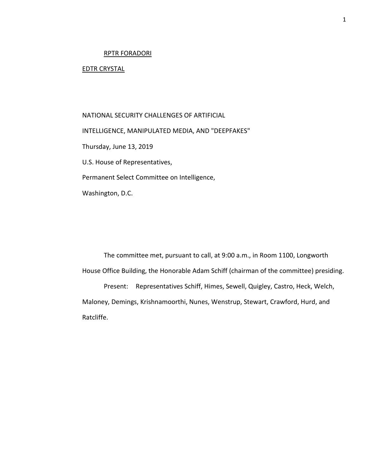# RPTR FORADORI

# EDTR CRYSTAL

NATIONAL SECURITY CHALLENGES OF ARTIFICIAL INTELLIGENCE, MANIPULATED MEDIA, AND "DEEPFAKES" Thursday, June 13, 2019 U.S. House of Representatives, Permanent Select Committee on Intelligence, Washington, D.C.

The committee met, pursuant to call, at 9:00 a.m., in Room 1100, Longworth House Office Building, the Honorable Adam Schiff (chairman of the committee) presiding. Present: Representatives Schiff, Himes, Sewell, Quigley, Castro, Heck, Welch, Maloney, Demings, Krishnamoorthi, Nunes, Wenstrup, Stewart, Crawford, Hurd, and

Ratcliffe.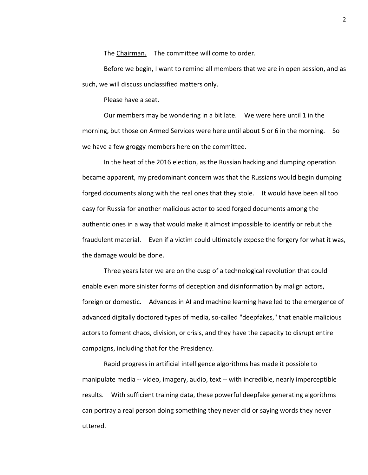The Chairman. The committee will come to order.

Before we begin, I want to remind all members that we are in open session, and as such, we will discuss unclassified matters only.

Please have a seat.

Our members may be wondering in a bit late. We were here until 1 in the morning, but those on Armed Services were here until about 5 or 6 in the morning. So we have a few groggy members here on the committee.

In the heat of the 2016 election, as the Russian hacking and dumping operation became apparent, my predominant concern was that the Russians would begin dumping forged documents along with the real ones that they stole. It would have been all too easy for Russia for another malicious actor to seed forged documents among the authentic ones in a way that would make it almost impossible to identify or rebut the fraudulent material. Even if a victim could ultimately expose the forgery for what it was, the damage would be done.

Three years later we are on the cusp of a technological revolution that could enable even more sinister forms of deception and disinformation by malign actors, foreign or domestic. Advances in AI and machine learning have led to the emergence of advanced digitally doctored types of media, so-called "deepfakes," that enable malicious actors to foment chaos, division, or crisis, and they have the capacity to disrupt entire campaigns, including that for the Presidency.

Rapid progress in artificial intelligence algorithms has made it possible to manipulate media -- video, imagery, audio, text -- with incredible, nearly imperceptible results. With sufficient training data, these powerful deepfake generating algorithms can portray a real person doing something they never did or saying words they never uttered.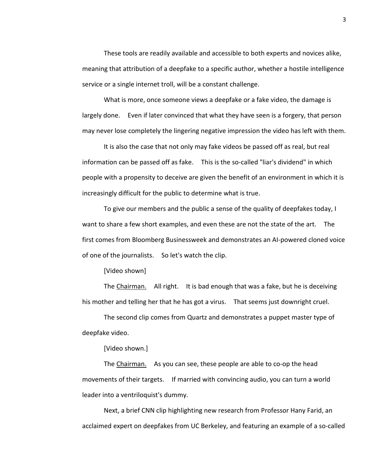These tools are readily available and accessible to both experts and novices alike, meaning that attribution of a deepfake to a specific author, whether a hostile intelligence service or a single internet troll, will be a constant challenge.

What is more, once someone views a deepfake or a fake video, the damage is largely done. Even if later convinced that what they have seen is a forgery, that person may never lose completely the lingering negative impression the video has left with them.

It is also the case that not only may fake videos be passed off as real, but real information can be passed off as fake. This is the so-called "liar's dividend" in which people with a propensity to deceive are given the benefit of an environment in which it is increasingly difficult for the public to determine what is true.

To give our members and the public a sense of the quality of deepfakes today, I want to share a few short examples, and even these are not the state of the art. The first comes from Bloomberg Businessweek and demonstrates an AI-powered cloned voice of one of the journalists. So let's watch the clip.

[Video shown]

The Chairman. All right. It is bad enough that was a fake, but he is deceiving his mother and telling her that he has got a virus. That seems just downright cruel.

The second clip comes from Quartz and demonstrates a puppet master type of deepfake video.

[Video shown.]

The Chairman. As you can see, these people are able to co-op the head movements of their targets. If married with convincing audio, you can turn a world leader into a ventriloquist's dummy.

Next, a brief CNN clip highlighting new research from Professor Hany Farid, an acclaimed expert on deepfakes from UC Berkeley, and featuring an example of a so-called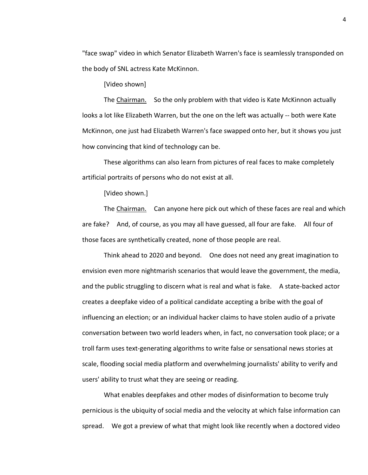"face swap" video in which Senator Elizabeth Warren's face is seamlessly transponded on the body of SNL actress Kate McKinnon.

[Video shown]

The Chairman. So the only problem with that video is Kate McKinnon actually looks a lot like Elizabeth Warren, but the one on the left was actually -- both were Kate McKinnon, one just had Elizabeth Warren's face swapped onto her, but it shows you just how convincing that kind of technology can be.

These algorithms can also learn from pictures of real faces to make completely artificial portraits of persons who do not exist at all.

[Video shown.]

The Chairman. Can anyone here pick out which of these faces are real and which are fake? And, of course, as you may all have guessed, all four are fake. All four of those faces are synthetically created, none of those people are real.

Think ahead to 2020 and beyond. One does not need any great imagination to envision even more nightmarish scenarios that would leave the government, the media, and the public struggling to discern what is real and what is fake. A state-backed actor creates a deepfake video of a political candidate accepting a bribe with the goal of influencing an election; or an individual hacker claims to have stolen audio of a private conversation between two world leaders when, in fact, no conversation took place; or a troll farm uses text-generating algorithms to write false or sensational news stories at scale, flooding social media platform and overwhelming journalists' ability to verify and users' ability to trust what they are seeing or reading.

What enables deepfakes and other modes of disinformation to become truly pernicious is the ubiquity of social media and the velocity at which false information can spread. We got a preview of what that might look like recently when a doctored video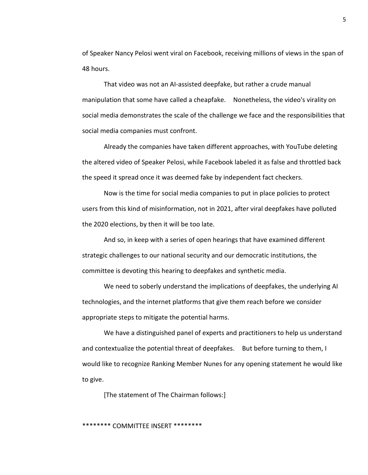of Speaker Nancy Pelosi went viral on Facebook, receiving millions of views in the span of 48 hours.

That video was not an AI-assisted deepfake, but rather a crude manual manipulation that some have called a cheapfake. Nonetheless, the video's virality on social media demonstrates the scale of the challenge we face and the responsibilities that social media companies must confront.

Already the companies have taken different approaches, with YouTube deleting the altered video of Speaker Pelosi, while Facebook labeled it as false and throttled back the speed it spread once it was deemed fake by independent fact checkers.

Now is the time for social media companies to put in place policies to protect users from this kind of misinformation, not in 2021, after viral deepfakes have polluted the 2020 elections, by then it will be too late.

And so, in keep with a series of open hearings that have examined different strategic challenges to our national security and our democratic institutions, the committee is devoting this hearing to deepfakes and synthetic media.

We need to soberly understand the implications of deepfakes, the underlying AI technologies, and the internet platforms that give them reach before we consider appropriate steps to mitigate the potential harms.

We have a distinguished panel of experts and practitioners to help us understand and contextualize the potential threat of deepfakes. But before turning to them, I would like to recognize Ranking Member Nunes for any opening statement he would like to give.

[The statement of The Chairman follows:]

## \*\*\*\*\*\*\*\* COMMITTEE INSERT \*\*\*\*\*\*\*\*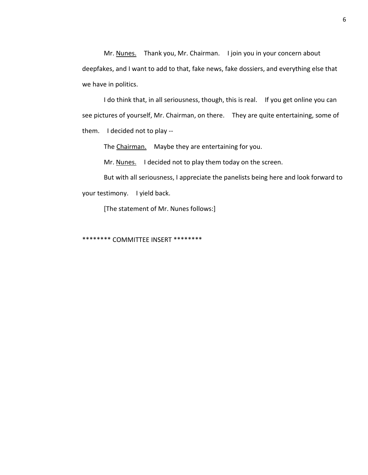Mr. Nunes. Thank you, Mr. Chairman. I join you in your concern about deepfakes, and I want to add to that, fake news, fake dossiers, and everything else that we have in politics.

I do think that, in all seriousness, though, this is real. If you get online you can see pictures of yourself, Mr. Chairman, on there. They are quite entertaining, some of them. I decided not to play --

The Chairman. Maybe they are entertaining for you.

Mr. Nunes. I decided not to play them today on the screen.

But with all seriousness, I appreciate the panelists being here and look forward to your testimony. I yield back.

[The statement of Mr. Nunes follows:]

\*\*\*\*\*\*\*\* COMMITTEE INSERT \*\*\*\*\*\*\*\*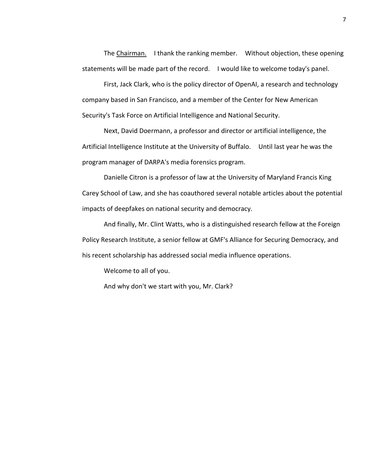The Chairman. I thank the ranking member. Without objection, these opening statements will be made part of the record. I would like to welcome today's panel.

First, Jack Clark, who is the policy director of OpenAI, a research and technology company based in San Francisco, and a member of the Center for New American Security's Task Force on Artificial Intelligence and National Security.

Next, David Doermann, a professor and director or artificial intelligence, the Artificial Intelligence Institute at the University of Buffalo. Until last year he was the program manager of DARPA's media forensics program.

Danielle Citron is a professor of law at the University of Maryland Francis King Carey School of Law, and she has coauthored several notable articles about the potential impacts of deepfakes on national security and democracy.

And finally, Mr. Clint Watts, who is a distinguished research fellow at the Foreign Policy Research Institute, a senior fellow at GMF's Alliance for Securing Democracy, and his recent scholarship has addressed social media influence operations.

Welcome to all of you.

And why don't we start with you, Mr. Clark?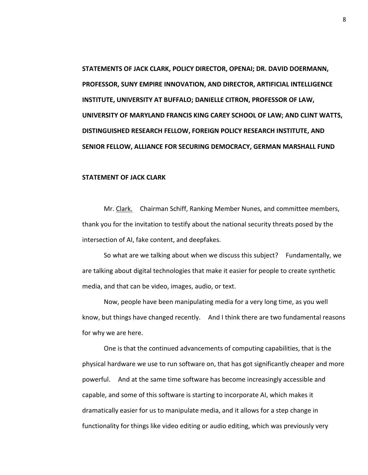**STATEMENTS OF JACK CLARK, POLICY DIRECTOR, OPENAI; DR. DAVID DOERMANN, PROFESSOR, SUNY EMPIRE INNOVATION, AND DIRECTOR, ARTIFICIAL INTELLIGENCE INSTITUTE, UNIVERSITY AT BUFFALO; DANIELLE CITRON, PROFESSOR OF LAW, UNIVERSITY OF MARYLAND FRANCIS KING CAREY SCHOOL OF LAW; AND CLINT WATTS, DISTINGUISHED RESEARCH FELLOW, FOREIGN POLICY RESEARCH INSTITUTE, AND SENIOR FELLOW, ALLIANCE FOR SECURING DEMOCRACY, GERMAN MARSHALL FUND**

# **STATEMENT OF JACK CLARK**

Mr. Clark. Chairman Schiff, Ranking Member Nunes, and committee members, thank you for the invitation to testify about the national security threats posed by the intersection of AI, fake content, and deepfakes.

So what are we talking about when we discuss this subject? Fundamentally, we are talking about digital technologies that make it easier for people to create synthetic media, and that can be video, images, audio, or text.

Now, people have been manipulating media for a very long time, as you well know, but things have changed recently. And I think there are two fundamental reasons for why we are here.

One is that the continued advancements of computing capabilities, that is the physical hardware we use to run software on, that has got significantly cheaper and more powerful. And at the same time software has become increasingly accessible and capable, and some of this software is starting to incorporate AI, which makes it dramatically easier for us to manipulate media, and it allows for a step change in functionality for things like video editing or audio editing, which was previously very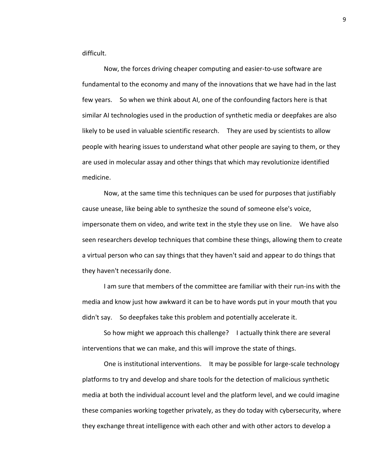difficult.

Now, the forces driving cheaper computing and easier-to-use software are fundamental to the economy and many of the innovations that we have had in the last few years. So when we think about AI, one of the confounding factors here is that similar AI technologies used in the production of synthetic media or deepfakes are also likely to be used in valuable scientific research. They are used by scientists to allow people with hearing issues to understand what other people are saying to them, or they are used in molecular assay and other things that which may revolutionize identified medicine.

Now, at the same time this techniques can be used for purposes that justifiably cause unease, like being able to synthesize the sound of someone else's voice, impersonate them on video, and write text in the style they use on line. We have also seen researchers develop techniques that combine these things, allowing them to create a virtual person who can say things that they haven't said and appear to do things that they haven't necessarily done.

I am sure that members of the committee are familiar with their run-ins with the media and know just how awkward it can be to have words put in your mouth that you didn't say. So deepfakes take this problem and potentially accelerate it.

So how might we approach this challenge? I actually think there are several interventions that we can make, and this will improve the state of things.

One is institutional interventions. It may be possible for large-scale technology platforms to try and develop and share tools for the detection of malicious synthetic media at both the individual account level and the platform level, and we could imagine these companies working together privately, as they do today with cybersecurity, where they exchange threat intelligence with each other and with other actors to develop a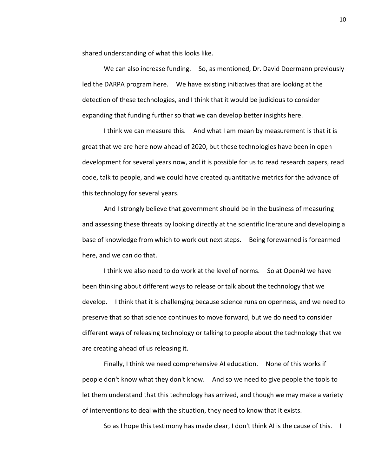shared understanding of what this looks like.

We can also increase funding. So, as mentioned, Dr. David Doermann previously led the DARPA program here. We have existing initiatives that are looking at the detection of these technologies, and I think that it would be judicious to consider expanding that funding further so that we can develop better insights here.

I think we can measure this. And what I am mean by measurement is that it is great that we are here now ahead of 2020, but these technologies have been in open development for several years now, and it is possible for us to read research papers, read code, talk to people, and we could have created quantitative metrics for the advance of this technology for several years.

And I strongly believe that government should be in the business of measuring and assessing these threats by looking directly at the scientific literature and developing a base of knowledge from which to work out next steps. Being forewarned is forearmed here, and we can do that.

I think we also need to do work at the level of norms. So at OpenAI we have been thinking about different ways to release or talk about the technology that we develop. I think that it is challenging because science runs on openness, and we need to preserve that so that science continues to move forward, but we do need to consider different ways of releasing technology or talking to people about the technology that we are creating ahead of us releasing it.

Finally, I think we need comprehensive AI education. None of this works if people don't know what they don't know. And so we need to give people the tools to let them understand that this technology has arrived, and though we may make a variety of interventions to deal with the situation, they need to know that it exists.

So as I hope this testimony has made clear, I don't think AI is the cause of this. I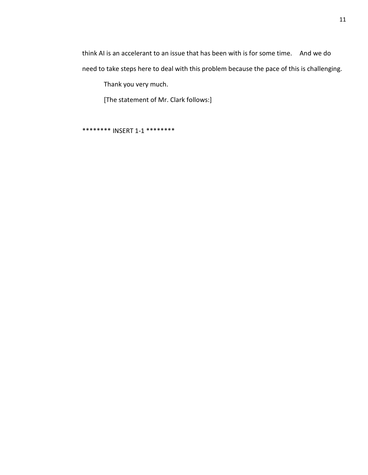think AI is an accelerant to an issue that has been with is for some time. And we do need to take steps here to deal with this problem because the pace of this is challenging.

Thank you very much.

[The statement of Mr. Clark follows:]

\*\*\*\*\*\*\*\* INSERT 1-1 \*\*\*\*\*\*\*\*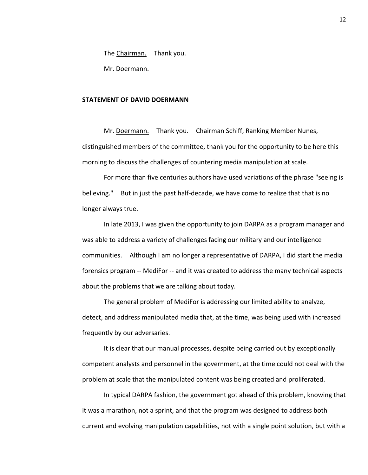The Chairman. Thank you.

Mr. Doermann.

#### **STATEMENT OF DAVID DOERMANN**

Mr. Doermann. Thank you. Chairman Schiff, Ranking Member Nunes, distinguished members of the committee, thank you for the opportunity to be here this morning to discuss the challenges of countering media manipulation at scale.

For more than five centuries authors have used variations of the phrase "seeing is believing." But in just the past half-decade, we have come to realize that that is no longer always true.

In late 2013, I was given the opportunity to join DARPA as a program manager and was able to address a variety of challenges facing our military and our intelligence communities. Although I am no longer a representative of DARPA, I did start the media forensics program -- MediFor -- and it was created to address the many technical aspects about the problems that we are talking about today.

The general problem of MediFor is addressing our limited ability to analyze, detect, and address manipulated media that, at the time, was being used with increased frequently by our adversaries.

It is clear that our manual processes, despite being carried out by exceptionally competent analysts and personnel in the government, at the time could not deal with the problem at scale that the manipulated content was being created and proliferated.

In typical DARPA fashion, the government got ahead of this problem, knowing that it was a marathon, not a sprint, and that the program was designed to address both current and evolving manipulation capabilities, not with a single point solution, but with a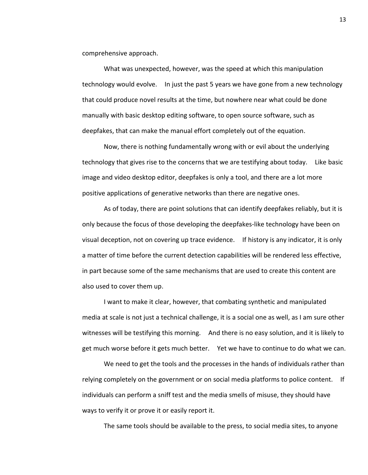comprehensive approach.

What was unexpected, however, was the speed at which this manipulation technology would evolve. In just the past 5 years we have gone from a new technology that could produce novel results at the time, but nowhere near what could be done manually with basic desktop editing software, to open source software, such as deepfakes, that can make the manual effort completely out of the equation.

Now, there is nothing fundamentally wrong with or evil about the underlying technology that gives rise to the concerns that we are testifying about today. Like basic image and video desktop editor, deepfakes is only a tool, and there are a lot more positive applications of generative networks than there are negative ones.

As of today, there are point solutions that can identify deepfakes reliably, but it is only because the focus of those developing the deepfakes-like technology have been on visual deception, not on covering up trace evidence. If history is any indicator, it is only a matter of time before the current detection capabilities will be rendered less effective, in part because some of the same mechanisms that are used to create this content are also used to cover them up.

I want to make it clear, however, that combating synthetic and manipulated media at scale is not just a technical challenge, it is a social one as well, as I am sure other witnesses will be testifying this morning. And there is no easy solution, and it is likely to get much worse before it gets much better. Yet we have to continue to do what we can.

We need to get the tools and the processes in the hands of individuals rather than relying completely on the government or on social media platforms to police content. If individuals can perform a sniff test and the media smells of misuse, they should have ways to verify it or prove it or easily report it.

The same tools should be available to the press, to social media sites, to anyone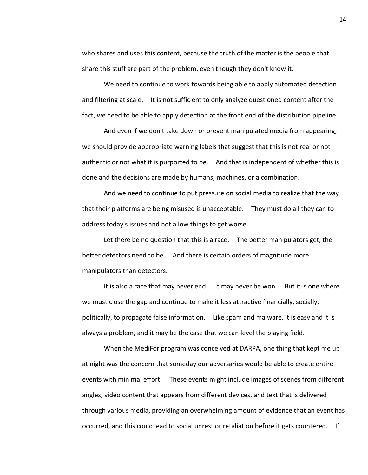who shares and uses this content, because the truth of the matter is the people that share this stuff are part of the problem, even though they don't know it.

We need to continue to work towards being able to apply automated detection and filtering at scale. It is not sufficient to only analyze questioned content after the fact, we need to be able to apply detection at the front end of the distribution pipeline.

And even if we don't take down or prevent manipulated media from appearing, we should provide appropriate warning labels that suggest that this is not real or not authentic or not what it is purported to be. And that is independent of whether this is done and the decisions are made by humans, machines, or a combination.

And we need to continue to put pressure on social media to realize that the way that their platforms are being misused is unacceptable. They must do all they can to address today's issues and not allow things to get worse.

Let there be no question that this is a race. The better manipulators get, the better detectors need to be. And there is certain orders of magnitude more manipulators than detectors.

It is also a race that may never end. It may never be won. But it is one where we must close the gap and continue to make it less attractive financially, socially, politically, to propagate false information. Like spam and malware, it is easy and it is always a problem, and it may be the case that we can level the playing field.

When the MediFor program was conceived at DARPA, one thing that kept me up at night was the concern that someday our adversaries would be able to create entire events with minimal effort. These events might include images of scenes from different angles, video content that appears from different devices, and text that is delivered through various media, providing an overwhelming amount of evidence that an event has occurred, and this could lead to social unrest or retaliation before it gets countered. If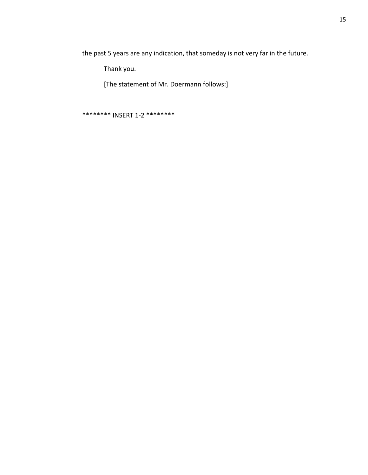the past 5 years are any indication, that someday is not very far in the future.

Thank you.

[The statement of Mr. Doermann follows:]

\*\*\*\*\*\*\*\* INSERT 1-2 \*\*\*\*\*\*\*\*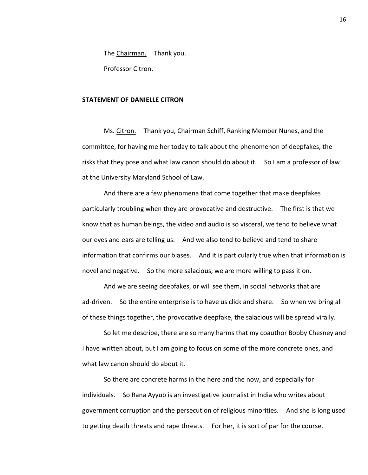The Chairman. Thank you.

Professor Citron.

### **STATEMENT OF DANIELLE CITRON**

Ms. Citron. Thank you, Chairman Schiff, Ranking Member Nunes, and the committee, for having me her today to talk about the phenomenon of deepfakes, the risks that they pose and what law canon should do about it. So I am a professor of law at the University Maryland School of Law.

And there are a few phenomena that come together that make deepfakes particularly troubling when they are provocative and destructive. The first is that we know that as human beings, the video and audio is so visceral, we tend to believe what our eyes and ears are telling us. And we also tend to believe and tend to share information that confirms our biases. And it is particularly true when that information is novel and negative. So the more salacious, we are more willing to pass it on.

And we are seeing deepfakes, or will see them, in social networks that are ad-driven. So the entire enterprise is to have us click and share. So when we bring all of these things together, the provocative deepfake, the salacious will be spread virally.

So let me describe, there are so many harms that my coauthor Bobby Chesney and I have written about, but I am going to focus on some of the more concrete ones, and what law canon should do about it.

So there are concrete harms in the here and the now, and especially for individuals. So Rana Ayyub is an investigative journalist in India who writes about government corruption and the persecution of religious minorities. And she is long used to getting death threats and rape threats. For her, it is sort of par for the course.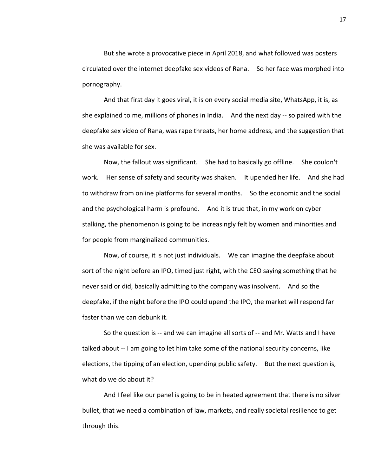But she wrote a provocative piece in April 2018, and what followed was posters circulated over the internet deepfake sex videos of Rana. So her face was morphed into pornography.

And that first day it goes viral, it is on every social media site, WhatsApp, it is, as she explained to me, millions of phones in India. And the next day -- so paired with the deepfake sex video of Rana, was rape threats, her home address, and the suggestion that she was available for sex.

Now, the fallout was significant. She had to basically go offline. She couldn't work. Her sense of safety and security was shaken. It upended her life. And she had to withdraw from online platforms for several months. So the economic and the social and the psychological harm is profound. And it is true that, in my work on cyber stalking, the phenomenon is going to be increasingly felt by women and minorities and for people from marginalized communities.

Now, of course, it is not just individuals. We can imagine the deepfake about sort of the night before an IPO, timed just right, with the CEO saying something that he never said or did, basically admitting to the company was insolvent. And so the deepfake, if the night before the IPO could upend the IPO, the market will respond far faster than we can debunk it.

So the question is -- and we can imagine all sorts of -- and Mr. Watts and I have talked about -- I am going to let him take some of the national security concerns, like elections, the tipping of an election, upending public safety. But the next question is, what do we do about it?

And I feel like our panel is going to be in heated agreement that there is no silver bullet, that we need a combination of law, markets, and really societal resilience to get through this.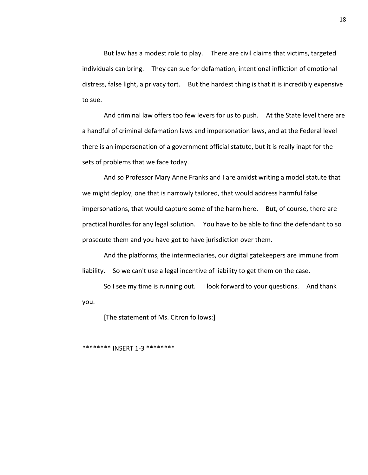But law has a modest role to play. There are civil claims that victims, targeted individuals can bring. They can sue for defamation, intentional infliction of emotional distress, false light, a privacy tort. But the hardest thing is that it is incredibly expensive to sue.

And criminal law offers too few levers for us to push. At the State level there are a handful of criminal defamation laws and impersonation laws, and at the Federal level there is an impersonation of a government official statute, but it is really inapt for the sets of problems that we face today.

And so Professor Mary Anne Franks and I are amidst writing a model statute that we might deploy, one that is narrowly tailored, that would address harmful false impersonations, that would capture some of the harm here. But, of course, there are practical hurdles for any legal solution. You have to be able to find the defendant to so prosecute them and you have got to have jurisdiction over them.

And the platforms, the intermediaries, our digital gatekeepers are immune from liability. So we can't use a legal incentive of liability to get them on the case.

So I see my time is running out. I look forward to your questions. And thank you.

[The statement of Ms. Citron follows:]

\*\*\*\*\*\*\*\* INSERT 1-3 \*\*\*\*\*\*\*\*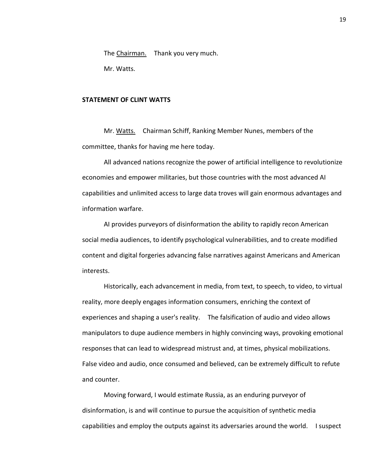The Chairman. Thank you very much.

Mr. Watts.

# **STATEMENT OF CLINT WATTS**

Mr. Watts. Chairman Schiff, Ranking Member Nunes, members of the committee, thanks for having me here today.

All advanced nations recognize the power of artificial intelligence to revolutionize economies and empower militaries, but those countries with the most advanced AI capabilities and unlimited access to large data troves will gain enormous advantages and information warfare.

AI provides purveyors of disinformation the ability to rapidly recon American social media audiences, to identify psychological vulnerabilities, and to create modified content and digital forgeries advancing false narratives against Americans and American interests.

Historically, each advancement in media, from text, to speech, to video, to virtual reality, more deeply engages information consumers, enriching the context of experiences and shaping a user's reality. The falsification of audio and video allows manipulators to dupe audience members in highly convincing ways, provoking emotional responses that can lead to widespread mistrust and, at times, physical mobilizations. False video and audio, once consumed and believed, can be extremely difficult to refute and counter.

Moving forward, I would estimate Russia, as an enduring purveyor of disinformation, is and will continue to pursue the acquisition of synthetic media capabilities and employ the outputs against its adversaries around the world. I suspect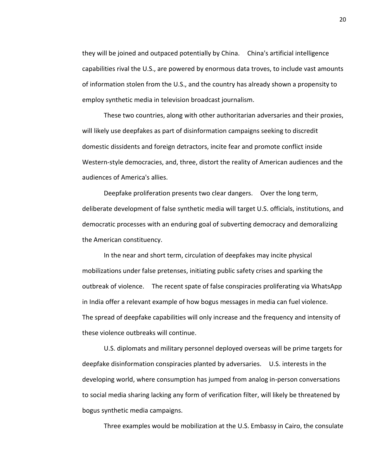they will be joined and outpaced potentially by China. China's artificial intelligence capabilities rival the U.S., are powered by enormous data troves, to include vast amounts of information stolen from the U.S., and the country has already shown a propensity to employ synthetic media in television broadcast journalism.

These two countries, along with other authoritarian adversaries and their proxies, will likely use deepfakes as part of disinformation campaigns seeking to discredit domestic dissidents and foreign detractors, incite fear and promote conflict inside Western-style democracies, and, three, distort the reality of American audiences and the audiences of America's allies.

Deepfake proliferation presents two clear dangers. Over the long term, deliberate development of false synthetic media will target U.S. officials, institutions, and democratic processes with an enduring goal of subverting democracy and demoralizing the American constituency.

In the near and short term, circulation of deepfakes may incite physical mobilizations under false pretenses, initiating public safety crises and sparking the outbreak of violence. The recent spate of false conspiracies proliferating via WhatsApp in India offer a relevant example of how bogus messages in media can fuel violence. The spread of deepfake capabilities will only increase and the frequency and intensity of these violence outbreaks will continue.

U.S. diplomats and military personnel deployed overseas will be prime targets for deepfake disinformation conspiracies planted by adversaries. U.S. interests in the developing world, where consumption has jumped from analog in-person conversations to social media sharing lacking any form of verification filter, will likely be threatened by bogus synthetic media campaigns.

Three examples would be mobilization at the U.S. Embassy in Cairo, the consulate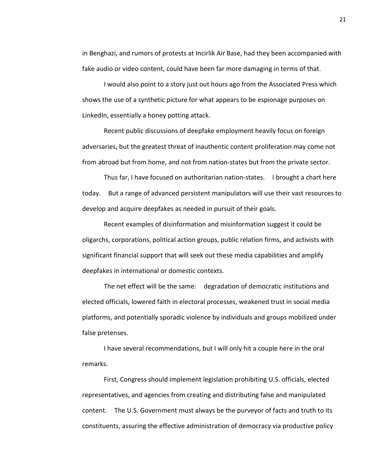in Benghazi, and rumors of protests at Incirlik Air Base, had they been accompanied with fake audio or video content, could have been far more damaging in terms of that.

I would also point to a story just out hours ago from the Associated Press which shows the use of a synthetic picture for what appears to be espionage purposes on LinkedIn, essentially a honey potting attack.

Recent public discussions of deepfake employment heavily focus on foreign adversaries, but the greatest threat of inauthentic content proliferation may come not from abroad but from home, and not from nation-states but from the private sector.

Thus far, I have focused on authoritarian nation-states. I brought a chart here today. But a range of advanced persistent manipulators will use their vast resources to develop and acquire deepfakes as needed in pursuit of their goals.

Recent examples of disinformation and misinformation suggest it could be oligarchs, corporations, political action groups, public relation firms, and activists with significant financial support that will seek out these media capabilities and amplify deepfakes in international or domestic contexts.

The net effect will be the same: degradation of democratic institutions and elected officials, lowered faith in electoral processes, weakened trust in social media platforms, and potentially sporadic violence by individuals and groups mobilized under false pretenses.

I have several recommendations, but I will only hit a couple here in the oral remarks.

First, Congress should implement legislation prohibiting U.S. officials, elected representatives, and agencies from creating and distributing false and manipulated content. The U.S. Government must always be the purveyor of facts and truth to its constituents, assuring the effective administration of democracy via productive policy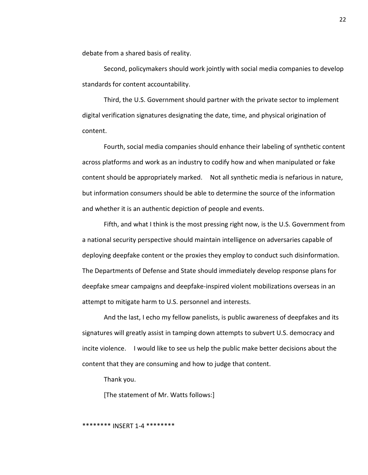debate from a shared basis of reality.

Second, policymakers should work jointly with social media companies to develop standards for content accountability.

Third, the U.S. Government should partner with the private sector to implement digital verification signatures designating the date, time, and physical origination of content.

Fourth, social media companies should enhance their labeling of synthetic content across platforms and work as an industry to codify how and when manipulated or fake content should be appropriately marked. Not all synthetic media is nefarious in nature, but information consumers should be able to determine the source of the information and whether it is an authentic depiction of people and events.

Fifth, and what I think is the most pressing right now, is the U.S. Government from a national security perspective should maintain intelligence on adversaries capable of deploying deepfake content or the proxies they employ to conduct such disinformation. The Departments of Defense and State should immediately develop response plans for deepfake smear campaigns and deepfake-inspired violent mobilizations overseas in an attempt to mitigate harm to U.S. personnel and interests.

And the last, I echo my fellow panelists, is public awareness of deepfakes and its signatures will greatly assist in tamping down attempts to subvert U.S. democracy and incite violence. I would like to see us help the public make better decisions about the content that they are consuming and how to judge that content.

Thank you.

[The statement of Mr. Watts follows:]

### \*\*\*\*\*\*\*\* INSERT 1-4 \*\*\*\*\*\*\*\*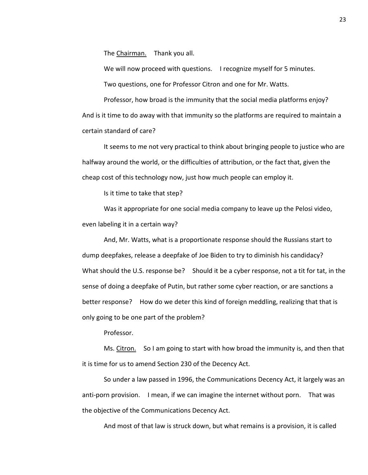The Chairman. Thank you all.

We will now proceed with questions. I recognize myself for 5 minutes.

Two questions, one for Professor Citron and one for Mr. Watts.

Professor, how broad is the immunity that the social media platforms enjoy? And is it time to do away with that immunity so the platforms are required to maintain a certain standard of care?

It seems to me not very practical to think about bringing people to justice who are halfway around the world, or the difficulties of attribution, or the fact that, given the cheap cost of this technology now, just how much people can employ it.

Is it time to take that step?

Was it appropriate for one social media company to leave up the Pelosi video, even labeling it in a certain way?

And, Mr. Watts, what is a proportionate response should the Russians start to dump deepfakes, release a deepfake of Joe Biden to try to diminish his candidacy? What should the U.S. response be? Should it be a cyber response, not a tit for tat, in the sense of doing a deepfake of Putin, but rather some cyber reaction, or are sanctions a better response? How do we deter this kind of foreign meddling, realizing that that is only going to be one part of the problem?

Professor.

Ms. Citron. So I am going to start with how broad the immunity is, and then that it is time for us to amend Section 230 of the Decency Act.

So under a law passed in 1996, the Communications Decency Act, it largely was an anti-porn provision. I mean, if we can imagine the internet without porn. That was the objective of the Communications Decency Act.

And most of that law is struck down, but what remains is a provision, it is called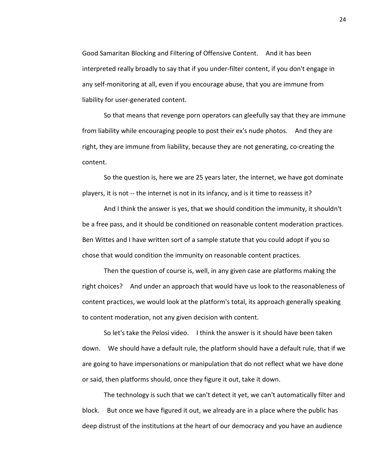Good Samaritan Blocking and Filtering of Offensive Content. And it has been interpreted really broadly to say that if you under-filter content, if you don't engage in any self-monitoring at all, even if you encourage abuse, that you are immune from liability for user-generated content.

So that means that revenge porn operators can gleefully say that they are immune from liability while encouraging people to post their ex's nude photos. And they are right, they are immune from liability, because they are not generating, co-creating the content.

So the question is, here we are 25 years later, the internet, we have got dominate players, it is not -- the internet is not in its infancy, and is it time to reassess it?

And I think the answer is yes, that we should condition the immunity, it shouldn't be a free pass, and it should be conditioned on reasonable content moderation practices. Ben Wittes and I have written sort of a sample statute that you could adopt if you so chose that would condition the immunity on reasonable content practices.

Then the question of course is, well, in any given case are platforms making the right choices? And under an approach that would have us look to the reasonableness of content practices, we would look at the platform's total, its approach generally speaking to content moderation, not any given decision with content.

So let's take the Pelosi video. I think the answer is it should have been taken down. We should have a default rule, the platform should have a default rule, that if we are going to have impersonations or manipulation that do not reflect what we have done or said, then platforms should, once they figure it out, take it down.

The technology is such that we can't detect it yet, we can't automatically filter and block. But once we have figured it out, we already are in a place where the public has deep distrust of the institutions at the heart of our democracy and you have an audience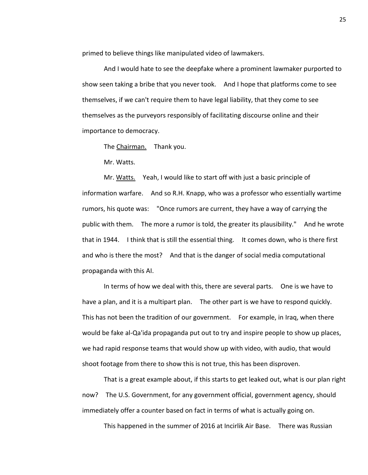primed to believe things like manipulated video of lawmakers.

And I would hate to see the deepfake where a prominent lawmaker purported to show seen taking a bribe that you never took. And I hope that platforms come to see themselves, if we can't require them to have legal liability, that they come to see themselves as the purveyors responsibly of facilitating discourse online and their importance to democracy.

The Chairman. Thank you.

Mr. Watts.

Mr. Watts. Yeah, I would like to start off with just a basic principle of information warfare. And so R.H. Knapp, who was a professor who essentially wartime rumors, his quote was: "Once rumors are current, they have a way of carrying the public with them. The more a rumor is told, the greater its plausibility." And he wrote that in 1944. I think that is still the essential thing. It comes down, who is there first and who is there the most? And that is the danger of social media computational propaganda with this AI.

In terms of how we deal with this, there are several parts. One is we have to have a plan, and it is a multipart plan. The other part is we have to respond quickly. This has not been the tradition of our government. For example, in Iraq, when there would be fake al-Qa'ida propaganda put out to try and inspire people to show up places, we had rapid response teams that would show up with video, with audio, that would shoot footage from there to show this is not true, this has been disproven.

That is a great example about, if this starts to get leaked out, what is our plan right now? The U.S. Government, for any government official, government agency, should immediately offer a counter based on fact in terms of what is actually going on.

This happened in the summer of 2016 at Incirlik Air Base. There was Russian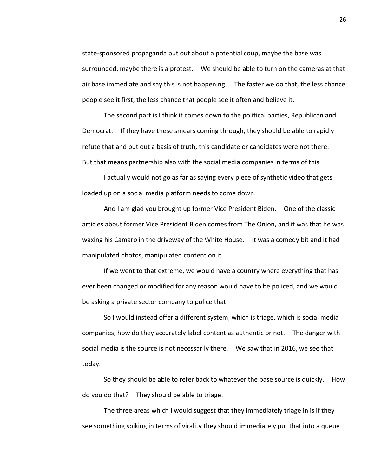state-sponsored propaganda put out about a potential coup, maybe the base was surrounded, maybe there is a protest. We should be able to turn on the cameras at that air base immediate and say this is not happening. The faster we do that, the less chance people see it first, the less chance that people see it often and believe it.

The second part is I think it comes down to the political parties, Republican and Democrat. If they have these smears coming through, they should be able to rapidly refute that and put out a basis of truth, this candidate or candidates were not there. But that means partnership also with the social media companies in terms of this.

I actually would not go as far as saying every piece of synthetic video that gets loaded up on a social media platform needs to come down.

And I am glad you brought up former Vice President Biden. One of the classic articles about former Vice President Biden comes from The Onion, and it was that he was waxing his Camaro in the driveway of the White House. It was a comedy bit and it had manipulated photos, manipulated content on it.

If we went to that extreme, we would have a country where everything that has ever been changed or modified for any reason would have to be policed, and we would be asking a private sector company to police that.

So I would instead offer a different system, which is triage, which is social media companies, how do they accurately label content as authentic or not. The danger with social media is the source is not necessarily there. We saw that in 2016, we see that today.

So they should be able to refer back to whatever the base source is quickly. How do you do that? They should be able to triage.

The three areas which I would suggest that they immediately triage in is if they see something spiking in terms of virality they should immediately put that into a queue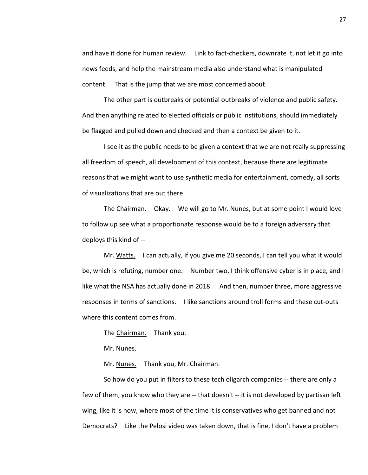and have it done for human review. Link to fact-checkers, downrate it, not let it go into news feeds, and help the mainstream media also understand what is manipulated content. That is the jump that we are most concerned about.

The other part is outbreaks or potential outbreaks of violence and public safety. And then anything related to elected officials or public institutions, should immediately be flagged and pulled down and checked and then a context be given to it.

I see it as the public needs to be given a context that we are not really suppressing all freedom of speech, all development of this context, because there are legitimate reasons that we might want to use synthetic media for entertainment, comedy, all sorts of visualizations that are out there.

The Chairman. Okay. We will go to Mr. Nunes, but at some point I would love to follow up see what a proportionate response would be to a foreign adversary that deploys this kind of --

Mr. Watts. I can actually, if you give me 20 seconds, I can tell you what it would be, which is refuting, number one. Number two, I think offensive cyber is in place, and I like what the NSA has actually done in 2018. And then, number three, more aggressive responses in terms of sanctions. I like sanctions around troll forms and these cut-outs where this content comes from.

The Chairman. Thank you.

Mr. Nunes.

Mr. Nunes. Thank you, Mr. Chairman.

So how do you put in filters to these tech oligarch companies -- there are only a few of them, you know who they are -- that doesn't -- it is not developed by partisan left wing, like it is now, where most of the time it is conservatives who get banned and not Democrats? Like the Pelosi video was taken down, that is fine, I don't have a problem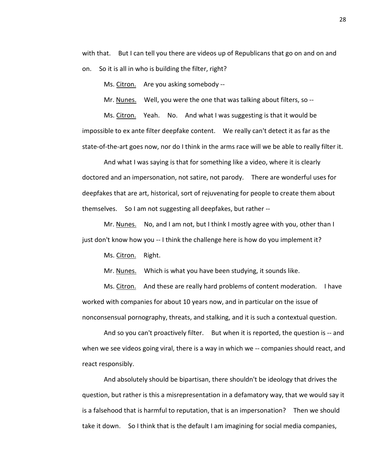with that. But I can tell you there are videos up of Republicans that go on and on and on. So it is all in who is building the filter, right?

Ms. Citron. Are you asking somebody --

Mr. Nunes. Well, you were the one that was talking about filters, so --

Ms. Citron. Yeah. No. And what I was suggesting is that it would be impossible to ex ante filter deepfake content. We really can't detect it as far as the state-of-the-art goes now, nor do I think in the arms race will we be able to really filter it.

And what I was saying is that for something like a video, where it is clearly doctored and an impersonation, not satire, not parody. There are wonderful uses for deepfakes that are art, historical, sort of rejuvenating for people to create them about themselves. So I am not suggesting all deepfakes, but rather --

Mr. Nunes. No, and I am not, but I think I mostly agree with you, other than I just don't know how you -- I think the challenge here is how do you implement it?

Ms. Citron. Right.

Mr. Nunes. Which is what you have been studying, it sounds like.

Ms. Citron. And these are really hard problems of content moderation. I have worked with companies for about 10 years now, and in particular on the issue of nonconsensual pornography, threats, and stalking, and it is such a contextual question.

And so you can't proactively filter. But when it is reported, the question is -- and when we see videos going viral, there is a way in which we -- companies should react, and react responsibly.

And absolutely should be bipartisan, there shouldn't be ideology that drives the question, but rather is this a misrepresentation in a defamatory way, that we would say it is a falsehood that is harmful to reputation, that is an impersonation? Then we should take it down. So I think that is the default I am imagining for social media companies,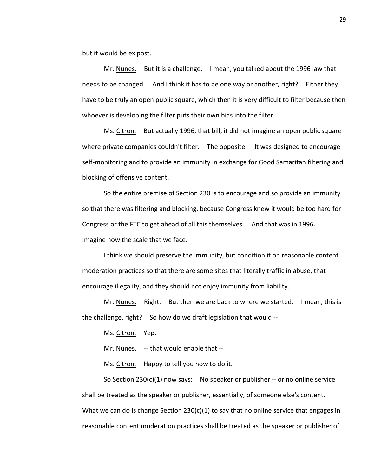but it would be ex post.

Mr. Nunes. But it is a challenge. I mean, you talked about the 1996 law that needs to be changed. And I think it has to be one way or another, right? Either they have to be truly an open public square, which then it is very difficult to filter because then whoever is developing the filter puts their own bias into the filter.

Ms. Citron. But actually 1996, that bill, it did not imagine an open public square where private companies couldn't filter. The opposite. It was designed to encourage self-monitoring and to provide an immunity in exchange for Good Samaritan filtering and blocking of offensive content.

So the entire premise of Section 230 is to encourage and so provide an immunity so that there was filtering and blocking, because Congress knew it would be too hard for Congress or the FTC to get ahead of all this themselves. And that was in 1996. Imagine now the scale that we face.

I think we should preserve the immunity, but condition it on reasonable content moderation practices so that there are some sites that literally traffic in abuse, that encourage illegality, and they should not enjoy immunity from liability.

Mr. Nunes. Right. But then we are back to where we started. I mean, this is the challenge, right? So how do we draft legislation that would --

Ms. Citron. Yep.

Mr. Nunes. -- that would enable that --

Ms. Citron. Happy to tell you how to do it.

So Section  $230(c)(1)$  now says: No speaker or publisher -- or no online service shall be treated as the speaker or publisher, essentially, of someone else's content. What we can do is change Section 230(c)(1) to say that no online service that engages in reasonable content moderation practices shall be treated as the speaker or publisher of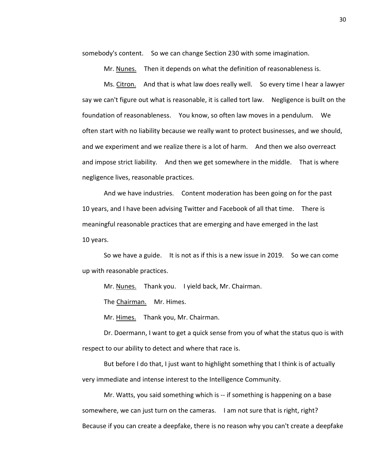somebody's content. So we can change Section 230 with some imagination.

Mr. Nunes. Then it depends on what the definition of reasonableness is.

Ms. Citron. And that is what law does really well. So every time I hear a lawyer say we can't figure out what is reasonable, it is called tort law. Negligence is built on the foundation of reasonableness. You know, so often law moves in a pendulum. We often start with no liability because we really want to protect businesses, and we should, and we experiment and we realize there is a lot of harm. And then we also overreact and impose strict liability. And then we get somewhere in the middle. That is where negligence lives, reasonable practices.

And we have industries. Content moderation has been going on for the past 10 years, and I have been advising Twitter and Facebook of all that time. There is meaningful reasonable practices that are emerging and have emerged in the last 10 years.

So we have a guide. It is not as if this is a new issue in 2019. So we can come up with reasonable practices.

Mr. Nunes. Thank you. I yield back, Mr. Chairman.

The Chairman. Mr. Himes.

Mr. Himes. Thank you, Mr. Chairman.

Dr. Doermann, I want to get a quick sense from you of what the status quo is with respect to our ability to detect and where that race is.

But before I do that, I just want to highlight something that I think is of actually very immediate and intense interest to the Intelligence Community.

Mr. Watts, you said something which is -- if something is happening on a base somewhere, we can just turn on the cameras. I am not sure that is right, right? Because if you can create a deepfake, there is no reason why you can't create a deepfake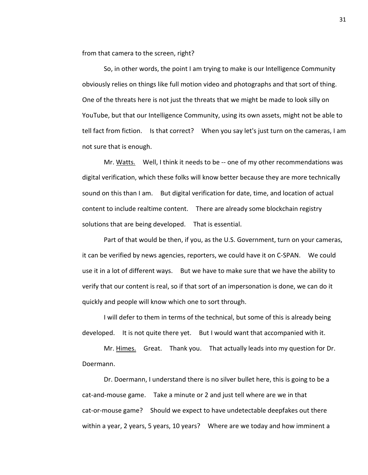from that camera to the screen, right?

So, in other words, the point I am trying to make is our Intelligence Community obviously relies on things like full motion video and photographs and that sort of thing. One of the threats here is not just the threats that we might be made to look silly on YouTube, but that our Intelligence Community, using its own assets, might not be able to tell fact from fiction. Is that correct? When you say let's just turn on the cameras, I am not sure that is enough.

Mr. Watts. Well, I think it needs to be -- one of my other recommendations was digital verification, which these folks will know better because they are more technically sound on this than I am. But digital verification for date, time, and location of actual content to include realtime content. There are already some blockchain registry solutions that are being developed. That is essential.

Part of that would be then, if you, as the U.S. Government, turn on your cameras, it can be verified by news agencies, reporters, we could have it on C-SPAN. We could use it in a lot of different ways. But we have to make sure that we have the ability to verify that our content is real, so if that sort of an impersonation is done, we can do it quickly and people will know which one to sort through.

I will defer to them in terms of the technical, but some of this is already being developed. It is not quite there yet. But I would want that accompanied with it.

Mr. Himes. Great. Thank you. That actually leads into my question for Dr. Doermann.

Dr. Doermann, I understand there is no silver bullet here, this is going to be a cat-and-mouse game. Take a minute or 2 and just tell where are we in that cat-or-mouse game? Should we expect to have undetectable deepfakes out there within a year, 2 years, 5 years, 10 years? Where are we today and how imminent a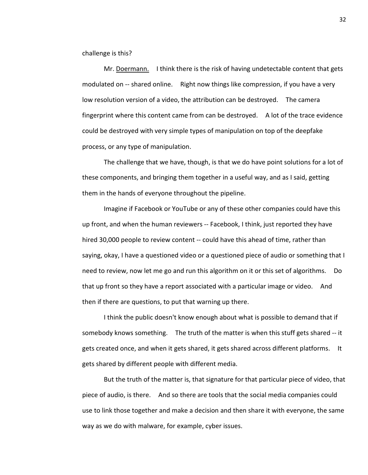challenge is this?

Mr. Doermann. I think there is the risk of having undetectable content that gets modulated on -- shared online. Right now things like compression, if you have a very low resolution version of a video, the attribution can be destroyed. The camera fingerprint where this content came from can be destroyed. A lot of the trace evidence could be destroyed with very simple types of manipulation on top of the deepfake process, or any type of manipulation.

The challenge that we have, though, is that we do have point solutions for a lot of these components, and bringing them together in a useful way, and as I said, getting them in the hands of everyone throughout the pipeline.

Imagine if Facebook or YouTube or any of these other companies could have this up front, and when the human reviewers -- Facebook, I think, just reported they have hired 30,000 people to review content -- could have this ahead of time, rather than saying, okay, I have a questioned video or a questioned piece of audio or something that I need to review, now let me go and run this algorithm on it or this set of algorithms. Do that up front so they have a report associated with a particular image or video. And then if there are questions, to put that warning up there.

I think the public doesn't know enough about what is possible to demand that if somebody knows something. The truth of the matter is when this stuff gets shared -- it gets created once, and when it gets shared, it gets shared across different platforms. It gets shared by different people with different media.

But the truth of the matter is, that signature for that particular piece of video, that piece of audio, is there. And so there are tools that the social media companies could use to link those together and make a decision and then share it with everyone, the same way as we do with malware, for example, cyber issues.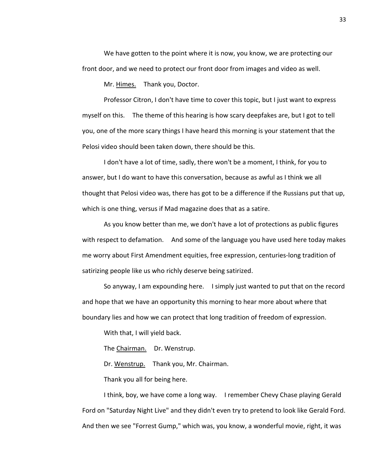We have gotten to the point where it is now, you know, we are protecting our front door, and we need to protect our front door from images and video as well.

Mr. Himes. Thank you, Doctor.

Professor Citron, I don't have time to cover this topic, but I just want to express myself on this. The theme of this hearing is how scary deepfakes are, but I got to tell you, one of the more scary things I have heard this morning is your statement that the Pelosi video should been taken down, there should be this.

I don't have a lot of time, sadly, there won't be a moment, I think, for you to answer, but I do want to have this conversation, because as awful as I think we all thought that Pelosi video was, there has got to be a difference if the Russians put that up, which is one thing, versus if Mad magazine does that as a satire.

As you know better than me, we don't have a lot of protections as public figures with respect to defamation. And some of the language you have used here today makes me worry about First Amendment equities, free expression, centuries-long tradition of satirizing people like us who richly deserve being satirized.

So anyway, I am expounding here. I simply just wanted to put that on the record and hope that we have an opportunity this morning to hear more about where that boundary lies and how we can protect that long tradition of freedom of expression.

With that, I will yield back.

The Chairman. Dr. Wenstrup.

Dr. Wenstrup. Thank you, Mr. Chairman.

Thank you all for being here.

I think, boy, we have come a long way. I remember Chevy Chase playing Gerald Ford on "Saturday Night Live" and they didn't even try to pretend to look like Gerald Ford. And then we see "Forrest Gump," which was, you know, a wonderful movie, right, it was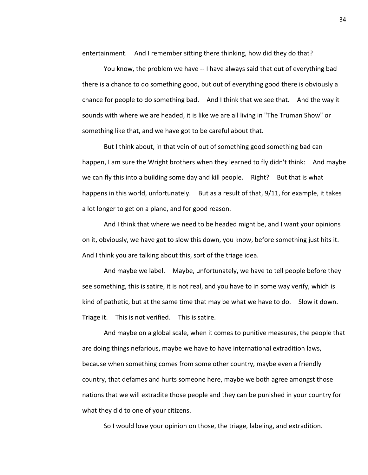entertainment. And I remember sitting there thinking, how did they do that?

You know, the problem we have -- I have always said that out of everything bad there is a chance to do something good, but out of everything good there is obviously a chance for people to do something bad. And I think that we see that. And the way it sounds with where we are headed, it is like we are all living in "The Truman Show" or something like that, and we have got to be careful about that.

But I think about, in that vein of out of something good something bad can happen, I am sure the Wright brothers when they learned to fly didn't think: And maybe we can fly this into a building some day and kill people. Right? But that is what happens in this world, unfortunately. But as a result of that, 9/11, for example, it takes a lot longer to get on a plane, and for good reason.

And I think that where we need to be headed might be, and I want your opinions on it, obviously, we have got to slow this down, you know, before something just hits it. And I think you are talking about this, sort of the triage idea.

And maybe we label. Maybe, unfortunately, we have to tell people before they see something, this is satire, it is not real, and you have to in some way verify, which is kind of pathetic, but at the same time that may be what we have to do. Slow it down. Triage it. This is not verified. This is satire.

And maybe on a global scale, when it comes to punitive measures, the people that are doing things nefarious, maybe we have to have international extradition laws, because when something comes from some other country, maybe even a friendly country, that defames and hurts someone here, maybe we both agree amongst those nations that we will extradite those people and they can be punished in your country for what they did to one of your citizens.

So I would love your opinion on those, the triage, labeling, and extradition.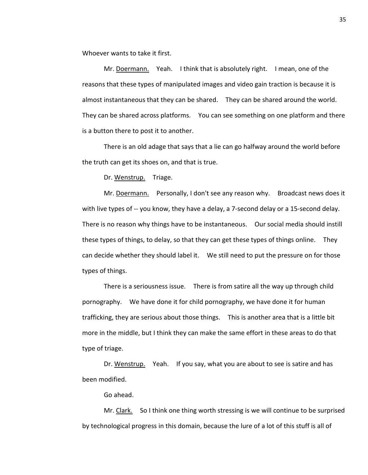Whoever wants to take it first.

Mr. Doermann. Yeah. I think that is absolutely right. I mean, one of the reasons that these types of manipulated images and video gain traction is because it is almost instantaneous that they can be shared. They can be shared around the world. They can be shared across platforms. You can see something on one platform and there is a button there to post it to another.

There is an old adage that says that a lie can go halfway around the world before the truth can get its shoes on, and that is true.

Dr. Wenstrup. Triage.

Mr. Doermann. Personally, I don't see any reason why. Broadcast news does it with live types of -- you know, they have a delay, a 7-second delay or a 15-second delay. There is no reason why things have to be instantaneous. Our social media should instill these types of things, to delay, so that they can get these types of things online. They can decide whether they should label it. We still need to put the pressure on for those types of things.

There is a seriousness issue. There is from satire all the way up through child pornography. We have done it for child pornography, we have done it for human trafficking, they are serious about those things. This is another area that is a little bit more in the middle, but I think they can make the same effort in these areas to do that type of triage.

Dr. Wenstrup. Yeah. If you say, what you are about to see is satire and has been modified.

Go ahead.

Mr. Clark. So I think one thing worth stressing is we will continue to be surprised by technological progress in this domain, because the lure of a lot of this stuff is all of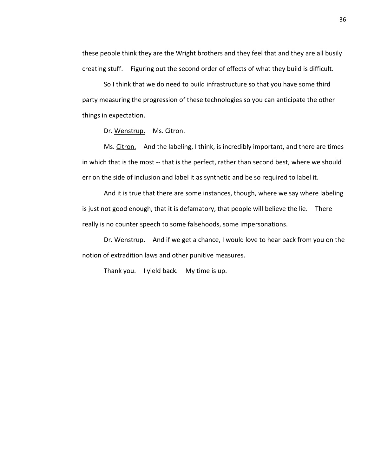these people think they are the Wright brothers and they feel that and they are all busily creating stuff. Figuring out the second order of effects of what they build is difficult.

So I think that we do need to build infrastructure so that you have some third party measuring the progression of these technologies so you can anticipate the other things in expectation.

Dr. Wenstrup. Ms. Citron.

Ms. Citron. And the labeling, I think, is incredibly important, and there are times in which that is the most -- that is the perfect, rather than second best, where we should err on the side of inclusion and label it as synthetic and be so required to label it.

And it is true that there are some instances, though, where we say where labeling is just not good enough, that it is defamatory, that people will believe the lie. There really is no counter speech to some falsehoods, some impersonations.

Dr. Wenstrup. And if we get a chance, I would love to hear back from you on the notion of extradition laws and other punitive measures.

Thank you. I yield back. My time is up.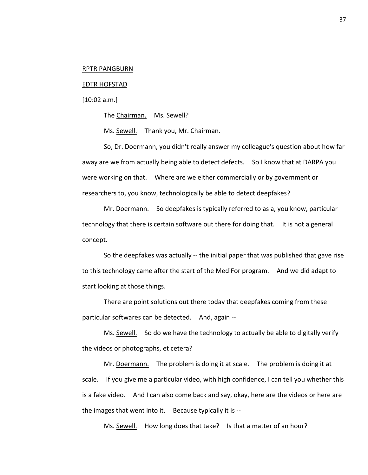## RPTR PANGBURN

## EDTR HOFSTAD

[10:02 a.m.]

The Chairman. Ms. Sewell?

Ms. Sewell. Thank you, Mr. Chairman.

So, Dr. Doermann, you didn't really answer my colleague's question about how far away are we from actually being able to detect defects. So I know that at DARPA you were working on that. Where are we either commercially or by government or researchers to, you know, technologically be able to detect deepfakes?

Mr. Doermann. So deepfakes is typically referred to as a, you know, particular technology that there is certain software out there for doing that. It is not a general concept.

So the deepfakes was actually -- the initial paper that was published that gave rise to this technology came after the start of the MediFor program. And we did adapt to start looking at those things.

There are point solutions out there today that deepfakes coming from these particular softwares can be detected. And, again --

Ms. Sewell. So do we have the technology to actually be able to digitally verify the videos or photographs, et cetera?

Mr. Doermann. The problem is doing it at scale. The problem is doing it at scale. If you give me a particular video, with high confidence, I can tell you whether this is a fake video. And I can also come back and say, okay, here are the videos or here are the images that went into it. Because typically it is --

Ms. Sewell. How long does that take? Is that a matter of an hour?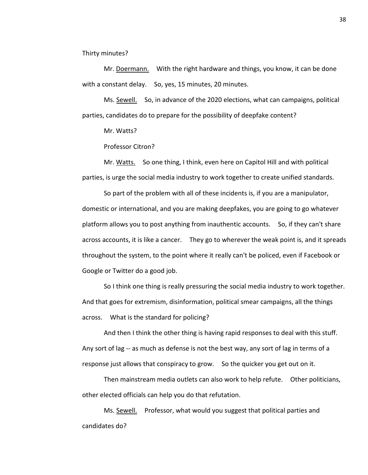Thirty minutes?

Mr. Doermann. With the right hardware and things, you know, it can be done with a constant delay. So, yes, 15 minutes, 20 minutes.

Ms. Sewell. So, in advance of the 2020 elections, what can campaigns, political parties, candidates do to prepare for the possibility of deepfake content?

Mr. Watts?

Professor Citron?

Mr. Watts. So one thing, I think, even here on Capitol Hill and with political parties, is urge the social media industry to work together to create unified standards.

So part of the problem with all of these incidents is, if you are a manipulator, domestic or international, and you are making deepfakes, you are going to go whatever platform allows you to post anything from inauthentic accounts. So, if they can't share across accounts, it is like a cancer. They go to wherever the weak point is, and it spreads throughout the system, to the point where it really can't be policed, even if Facebook or Google or Twitter do a good job.

So I think one thing is really pressuring the social media industry to work together. And that goes for extremism, disinformation, political smear campaigns, all the things across. What is the standard for policing?

And then I think the other thing is having rapid responses to deal with this stuff. Any sort of lag -- as much as defense is not the best way, any sort of lag in terms of a response just allows that conspiracy to grow. So the quicker you get out on it.

Then mainstream media outlets can also work to help refute. Other politicians, other elected officials can help you do that refutation.

Ms. Sewell. Professor, what would you suggest that political parties and candidates do?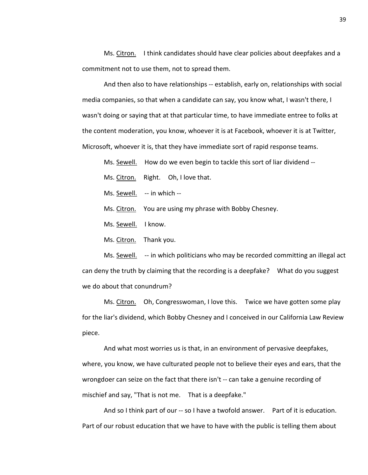Ms. Citron. I think candidates should have clear policies about deepfakes and a commitment not to use them, not to spread them.

And then also to have relationships -- establish, early on, relationships with social media companies, so that when a candidate can say, you know what, I wasn't there, I wasn't doing or saying that at that particular time, to have immediate entree to folks at the content moderation, you know, whoever it is at Facebook, whoever it is at Twitter, Microsoft, whoever it is, that they have immediate sort of rapid response teams.

Ms. Sewell. How do we even begin to tackle this sort of liar dividend --

Ms. Citron. Right. Oh, I love that.

Ms. Sewell. -- in which --

Ms. Citron. You are using my phrase with Bobby Chesney.

Ms. Sewell. I know.

Ms. Citron. Thank you.

Ms. Sewell. -- in which politicians who may be recorded committing an illegal act can deny the truth by claiming that the recording is a deepfake? What do you suggest we do about that conundrum?

Ms. Citron. Oh, Congresswoman, I love this. Twice we have gotten some play for the liar's dividend, which Bobby Chesney and I conceived in our California Law Review piece.

And what most worries us is that, in an environment of pervasive deepfakes, where, you know, we have culturated people not to believe their eyes and ears, that the wrongdoer can seize on the fact that there isn't -- can take a genuine recording of mischief and say, "That is not me. That is a deepfake."

And so I think part of our -- so I have a twofold answer. Part of it is education. Part of our robust education that we have to have with the public is telling them about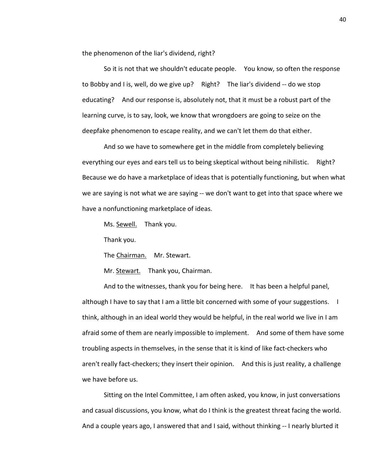the phenomenon of the liar's dividend, right?

So it is not that we shouldn't educate people. You know, so often the response to Bobby and I is, well, do we give up? Right? The liar's dividend -- do we stop educating? And our response is, absolutely not, that it must be a robust part of the learning curve, is to say, look, we know that wrongdoers are going to seize on the deepfake phenomenon to escape reality, and we can't let them do that either.

And so we have to somewhere get in the middle from completely believing everything our eyes and ears tell us to being skeptical without being nihilistic. Right? Because we do have a marketplace of ideas that is potentially functioning, but when what we are saying is not what we are saying -- we don't want to get into that space where we have a nonfunctioning marketplace of ideas.

Ms. Sewell. Thank you.

Thank you.

The Chairman. Mr. Stewart.

Mr. Stewart. Thank you, Chairman.

And to the witnesses, thank you for being here. It has been a helpful panel, although I have to say that I am a little bit concerned with some of your suggestions. I think, although in an ideal world they would be helpful, in the real world we live in I am afraid some of them are nearly impossible to implement. And some of them have some troubling aspects in themselves, in the sense that it is kind of like fact-checkers who aren't really fact-checkers; they insert their opinion. And this is just reality, a challenge we have before us.

Sitting on the Intel Committee, I am often asked, you know, in just conversations and casual discussions, you know, what do I think is the greatest threat facing the world. And a couple years ago, I answered that and I said, without thinking -- I nearly blurted it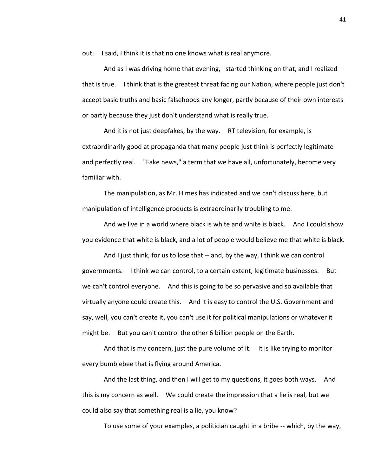out. I said, I think it is that no one knows what is real anymore.

And as I was driving home that evening, I started thinking on that, and I realized that is true. I think that is the greatest threat facing our Nation, where people just don't accept basic truths and basic falsehoods any longer, partly because of their own interests or partly because they just don't understand what is really true.

And it is not just deepfakes, by the way. RT television, for example, is extraordinarily good at propaganda that many people just think is perfectly legitimate and perfectly real. "Fake news," a term that we have all, unfortunately, become very familiar with.

The manipulation, as Mr. Himes has indicated and we can't discuss here, but manipulation of intelligence products is extraordinarily troubling to me.

And we live in a world where black is white and white is black. And I could show you evidence that white is black, and a lot of people would believe me that white is black.

And I just think, for us to lose that -- and, by the way, I think we can control governments. I think we can control, to a certain extent, legitimate businesses. But we can't control everyone. And this is going to be so pervasive and so available that virtually anyone could create this. And it is easy to control the U.S. Government and say, well, you can't create it, you can't use it for political manipulations or whatever it might be. But you can't control the other 6 billion people on the Earth.

And that is my concern, just the pure volume of it. It is like trying to monitor every bumblebee that is flying around America.

And the last thing, and then I will get to my questions, it goes both ways. And this is my concern as well. We could create the impression that a lie is real, but we could also say that something real is a lie, you know?

To use some of your examples, a politician caught in a bribe -- which, by the way,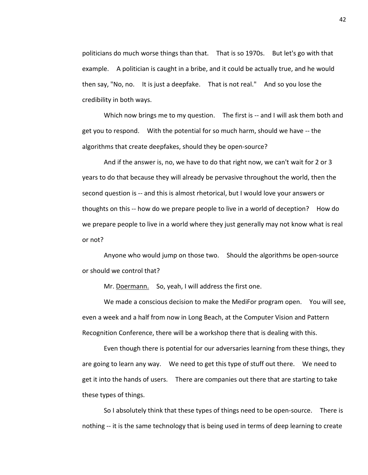politicians do much worse things than that. That is so 1970s. But let's go with that example. A politician is caught in a bribe, and it could be actually true, and he would then say, "No, no. It is just a deepfake. That is not real." And so you lose the credibility in both ways.

Which now brings me to my question. The first is -- and I will ask them both and get you to respond. With the potential for so much harm, should we have -- the algorithms that create deepfakes, should they be open-source?

And if the answer is, no, we have to do that right now, we can't wait for 2 or 3 years to do that because they will already be pervasive throughout the world, then the second question is -- and this is almost rhetorical, but I would love your answers or thoughts on this -- how do we prepare people to live in a world of deception? How do we prepare people to live in a world where they just generally may not know what is real or not?

Anyone who would jump on those two. Should the algorithms be open-source or should we control that?

Mr. Doermann. So, yeah, I will address the first one.

We made a conscious decision to make the MediFor program open. You will see, even a week and a half from now in Long Beach, at the Computer Vision and Pattern Recognition Conference, there will be a workshop there that is dealing with this.

Even though there is potential for our adversaries learning from these things, they are going to learn any way. We need to get this type of stuff out there. We need to get it into the hands of users. There are companies out there that are starting to take these types of things.

So I absolutely think that these types of things need to be open-source. There is nothing -- it is the same technology that is being used in terms of deep learning to create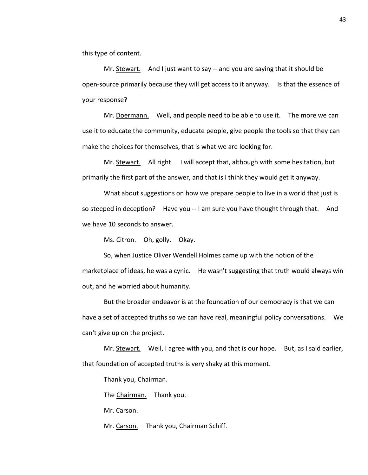this type of content.

Mr. Stewart. And I just want to say -- and you are saying that it should be open-source primarily because they will get access to it anyway. Is that the essence of your response?

Mr. Doermann. Well, and people need to be able to use it. The more we can use it to educate the community, educate people, give people the tools so that they can make the choices for themselves, that is what we are looking for.

Mr. Stewart. All right. I will accept that, although with some hesitation, but primarily the first part of the answer, and that is I think they would get it anyway.

What about suggestions on how we prepare people to live in a world that just is so steeped in deception? Have you -- I am sure you have thought through that. And we have 10 seconds to answer.

Ms. Citron. Oh, golly. Okay.

So, when Justice Oliver Wendell Holmes came up with the notion of the marketplace of ideas, he was a cynic. He wasn't suggesting that truth would always win out, and he worried about humanity.

But the broader endeavor is at the foundation of our democracy is that we can have a set of accepted truths so we can have real, meaningful policy conversations. We can't give up on the project.

Mr. **Stewart.** Well, I agree with you, and that is our hope. But, as I said earlier, that foundation of accepted truths is very shaky at this moment.

Thank you, Chairman.

The Chairman. Thank you.

Mr. Carson.

Mr. Carson. Thank you, Chairman Schiff.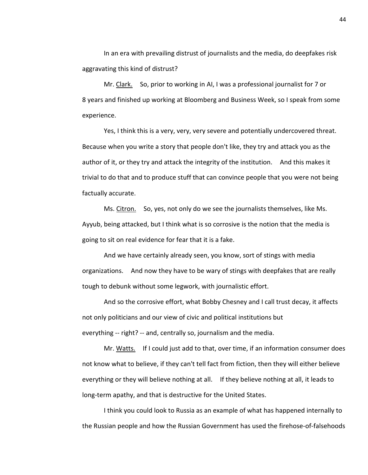In an era with prevailing distrust of journalists and the media, do deepfakes risk aggravating this kind of distrust?

Mr. Clark. So, prior to working in AI, I was a professional journalist for 7 or 8 years and finished up working at Bloomberg and Business Week, so I speak from some experience.

Yes, I think this is a very, very, very severe and potentially undercovered threat. Because when you write a story that people don't like, they try and attack you as the author of it, or they try and attack the integrity of the institution. And this makes it trivial to do that and to produce stuff that can convince people that you were not being factually accurate.

Ms. Citron. So, yes, not only do we see the journalists themselves, like Ms. Ayyub, being attacked, but I think what is so corrosive is the notion that the media is going to sit on real evidence for fear that it is a fake.

And we have certainly already seen, you know, sort of stings with media organizations. And now they have to be wary of stings with deepfakes that are really tough to debunk without some legwork, with journalistic effort.

And so the corrosive effort, what Bobby Chesney and I call trust decay, it affects not only politicians and our view of civic and political institutions but everything -- right? -- and, centrally so, journalism and the media.

Mr. Watts. If I could just add to that, over time, if an information consumer does not know what to believe, if they can't tell fact from fiction, then they will either believe everything or they will believe nothing at all. If they believe nothing at all, it leads to long-term apathy, and that is destructive for the United States.

I think you could look to Russia as an example of what has happened internally to the Russian people and how the Russian Government has used the firehose-of-falsehoods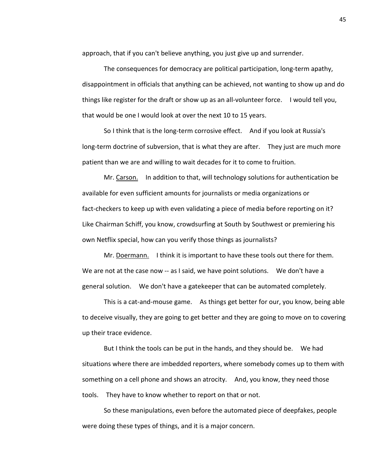approach, that if you can't believe anything, you just give up and surrender.

The consequences for democracy are political participation, long-term apathy, disappointment in officials that anything can be achieved, not wanting to show up and do things like register for the draft or show up as an all-volunteer force. I would tell you, that would be one I would look at over the next 10 to 15 years.

So I think that is the long-term corrosive effect. And if you look at Russia's long-term doctrine of subversion, that is what they are after. They just are much more patient than we are and willing to wait decades for it to come to fruition.

Mr. Carson. In addition to that, will technology solutions for authentication be available for even sufficient amounts for journalists or media organizations or fact-checkers to keep up with even validating a piece of media before reporting on it? Like Chairman Schiff, you know, crowdsurfing at South by Southwest or premiering his own Netflix special, how can you verify those things as journalists?

Mr. Doermann. I think it is important to have these tools out there for them. We are not at the case now -- as I said, we have point solutions. We don't have a general solution. We don't have a gatekeeper that can be automated completely.

This is a cat-and-mouse game. As things get better for our, you know, being able to deceive visually, they are going to get better and they are going to move on to covering up their trace evidence.

But I think the tools can be put in the hands, and they should be. We had situations where there are imbedded reporters, where somebody comes up to them with something on a cell phone and shows an atrocity. And, you know, they need those tools. They have to know whether to report on that or not.

So these manipulations, even before the automated piece of deepfakes, people were doing these types of things, and it is a major concern.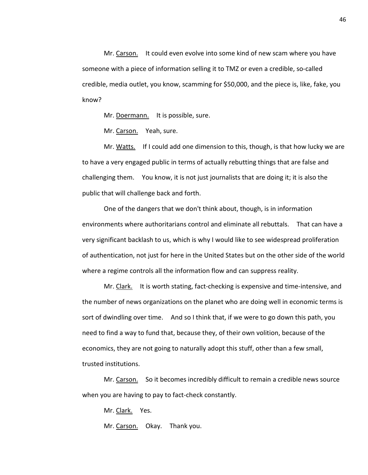Mr. Carson. It could even evolve into some kind of new scam where you have someone with a piece of information selling it to TMZ or even a credible, so-called credible, media outlet, you know, scamming for \$50,000, and the piece is, like, fake, you know?

Mr. Doermann. It is possible, sure.

Mr. Carson. Yeah, sure.

Mr. Watts. If I could add one dimension to this, though, is that how lucky we are to have a very engaged public in terms of actually rebutting things that are false and challenging them. You know, it is not just journalists that are doing it; it is also the public that will challenge back and forth.

One of the dangers that we don't think about, though, is in information environments where authoritarians control and eliminate all rebuttals. That can have a very significant backlash to us, which is why I would like to see widespread proliferation of authentication, not just for here in the United States but on the other side of the world where a regime controls all the information flow and can suppress reality.

Mr. Clark. It is worth stating, fact-checking is expensive and time-intensive, and the number of news organizations on the planet who are doing well in economic terms is sort of dwindling over time. And so I think that, if we were to go down this path, you need to find a way to fund that, because they, of their own volition, because of the economics, they are not going to naturally adopt this stuff, other than a few small, trusted institutions.

Mr. Carson. So it becomes incredibly difficult to remain a credible news source when you are having to pay to fact-check constantly.

Mr. Clark. Yes.

Mr. Carson. Okay. Thank you.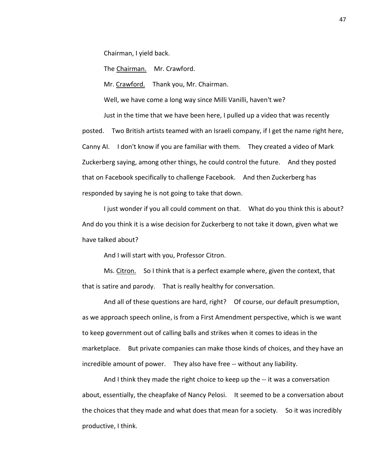Chairman, I yield back.

The Chairman. Mr. Crawford.

Mr. Crawford. Thank you, Mr. Chairman.

Well, we have come a long way since Milli Vanilli, haven't we?

Just in the time that we have been here, I pulled up a video that was recently posted. Two British artists teamed with an Israeli company, if I get the name right here, Canny AI. I don't know if you are familiar with them. They created a video of Mark Zuckerberg saying, among other things, he could control the future. And they posted that on Facebook specifically to challenge Facebook. And then Zuckerberg has responded by saying he is not going to take that down.

I just wonder if you all could comment on that. What do you think this is about? And do you think it is a wise decision for Zuckerberg to not take it down, given what we have talked about?

And I will start with you, Professor Citron.

Ms. Citron. So I think that is a perfect example where, given the context, that that is satire and parody. That is really healthy for conversation.

And all of these questions are hard, right? Of course, our default presumption, as we approach speech online, is from a First Amendment perspective, which is we want to keep government out of calling balls and strikes when it comes to ideas in the marketplace. But private companies can make those kinds of choices, and they have an incredible amount of power. They also have free -- without any liability.

And I think they made the right choice to keep up the -- it was a conversation about, essentially, the cheapfake of Nancy Pelosi. It seemed to be a conversation about the choices that they made and what does that mean for a society. So it was incredibly productive, I think.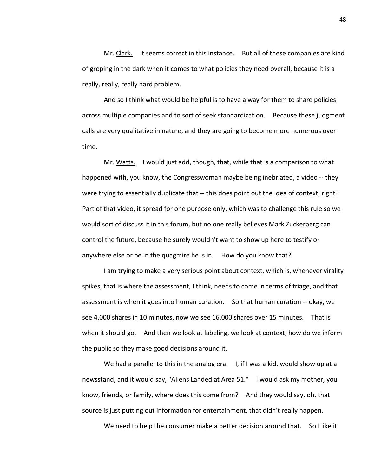Mr. Clark. It seems correct in this instance. But all of these companies are kind of groping in the dark when it comes to what policies they need overall, because it is a really, really, really hard problem.

And so I think what would be helpful is to have a way for them to share policies across multiple companies and to sort of seek standardization. Because these judgment calls are very qualitative in nature, and they are going to become more numerous over time.

Mr. Watts. I would just add, though, that, while that is a comparison to what happened with, you know, the Congresswoman maybe being inebriated, a video -- they were trying to essentially duplicate that -- this does point out the idea of context, right? Part of that video, it spread for one purpose only, which was to challenge this rule so we would sort of discuss it in this forum, but no one really believes Mark Zuckerberg can control the future, because he surely wouldn't want to show up here to testify or anywhere else or be in the quagmire he is in. How do you know that?

I am trying to make a very serious point about context, which is, whenever virality spikes, that is where the assessment, I think, needs to come in terms of triage, and that assessment is when it goes into human curation. So that human curation -- okay, we see 4,000 shares in 10 minutes, now we see 16,000 shares over 15 minutes. That is when it should go. And then we look at labeling, we look at context, how do we inform the public so they make good decisions around it.

We had a parallel to this in the analog era. I, if I was a kid, would show up at a newsstand, and it would say, "Aliens Landed at Area 51." I would ask my mother, you know, friends, or family, where does this come from? And they would say, oh, that source is just putting out information for entertainment, that didn't really happen.

We need to help the consumer make a better decision around that. So I like it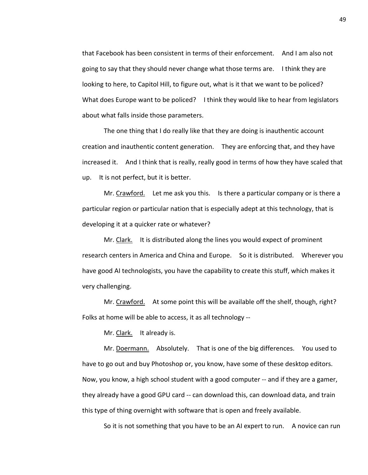that Facebook has been consistent in terms of their enforcement. And I am also not going to say that they should never change what those terms are. I think they are looking to here, to Capitol Hill, to figure out, what is it that we want to be policed? What does Europe want to be policed? I think they would like to hear from legislators about what falls inside those parameters.

The one thing that I do really like that they are doing is inauthentic account creation and inauthentic content generation. They are enforcing that, and they have increased it. And I think that is really, really good in terms of how they have scaled that up. It is not perfect, but it is better.

Mr. Crawford. Let me ask you this. Is there a particular company or is there a particular region or particular nation that is especially adept at this technology, that is developing it at a quicker rate or whatever?

Mr. Clark. It is distributed along the lines you would expect of prominent research centers in America and China and Europe. So it is distributed. Wherever you have good AI technologists, you have the capability to create this stuff, which makes it very challenging.

Mr. Crawford. At some point this will be available off the shelf, though, right? Folks at home will be able to access, it as all technology --

Mr. Clark. It already is.

Mr. Doermann. Absolutely. That is one of the big differences. You used to have to go out and buy Photoshop or, you know, have some of these desktop editors. Now, you know, a high school student with a good computer -- and if they are a gamer, they already have a good GPU card -- can download this, can download data, and train this type of thing overnight with software that is open and freely available.

So it is not something that you have to be an AI expert to run. A novice can run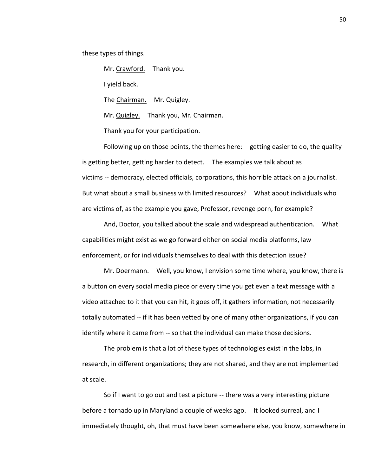these types of things.

Mr. Crawford. Thank you.

I yield back.

The Chairman. Mr. Quigley.

Mr. Quigley. Thank you, Mr. Chairman.

Thank you for your participation.

Following up on those points, the themes here: getting easier to do, the quality is getting better, getting harder to detect. The examples we talk about as victims -- democracy, elected officials, corporations, this horrible attack on a journalist. But what about a small business with limited resources? What about individuals who are victims of, as the example you gave, Professor, revenge porn, for example?

And, Doctor, you talked about the scale and widespread authentication. What capabilities might exist as we go forward either on social media platforms, law enforcement, or for individuals themselves to deal with this detection issue?

Mr. Doermann. Well, you know, I envision some time where, you know, there is a button on every social media piece or every time you get even a text message with a video attached to it that you can hit, it goes off, it gathers information, not necessarily totally automated -- if it has been vetted by one of many other organizations, if you can identify where it came from -- so that the individual can make those decisions.

The problem is that a lot of these types of technologies exist in the labs, in research, in different organizations; they are not shared, and they are not implemented at scale.

So if I want to go out and test a picture -- there was a very interesting picture before a tornado up in Maryland a couple of weeks ago. It looked surreal, and I immediately thought, oh, that must have been somewhere else, you know, somewhere in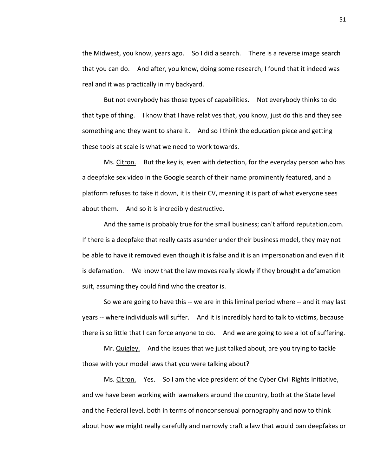the Midwest, you know, years ago. So I did a search. There is a reverse image search that you can do. And after, you know, doing some research, I found that it indeed was real and it was practically in my backyard.

But not everybody has those types of capabilities. Not everybody thinks to do that type of thing. I know that I have relatives that, you know, just do this and they see something and they want to share it. And so I think the education piece and getting these tools at scale is what we need to work towards.

Ms. Citron. But the key is, even with detection, for the everyday person who has a deepfake sex video in the Google search of their name prominently featured, and a platform refuses to take it down, it is their CV, meaning it is part of what everyone sees about them. And so it is incredibly destructive.

And the same is probably true for the small business; can't afford reputation.com. If there is a deepfake that really casts asunder under their business model, they may not be able to have it removed even though it is false and it is an impersonation and even if it is defamation. We know that the law moves really slowly if they brought a defamation suit, assuming they could find who the creator is.

So we are going to have this -- we are in this liminal period where -- and it may last years -- where individuals will suffer. And it is incredibly hard to talk to victims, because there is so little that I can force anyone to do. And we are going to see a lot of suffering.

Mr. Quigley. And the issues that we just talked about, are you trying to tackle those with your model laws that you were talking about?

Ms. Citron. Yes. So I am the vice president of the Cyber Civil Rights Initiative, and we have been working with lawmakers around the country, both at the State level and the Federal level, both in terms of nonconsensual pornography and now to think about how we might really carefully and narrowly craft a law that would ban deepfakes or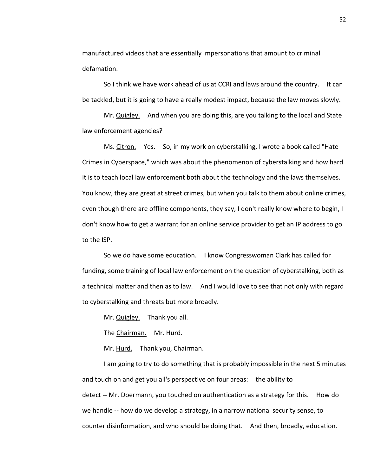manufactured videos that are essentially impersonations that amount to criminal defamation.

So I think we have work ahead of us at CCRI and laws around the country. It can be tackled, but it is going to have a really modest impact, because the law moves slowly.

Mr. Quigley. And when you are doing this, are you talking to the local and State law enforcement agencies?

Ms. Citron. Yes. So, in my work on cyberstalking, I wrote a book called "Hate Crimes in Cyberspace," which was about the phenomenon of cyberstalking and how hard it is to teach local law enforcement both about the technology and the laws themselves. You know, they are great at street crimes, but when you talk to them about online crimes, even though there are offline components, they say, I don't really know where to begin, I don't know how to get a warrant for an online service provider to get an IP address to go to the ISP.

So we do have some education. I know Congresswoman Clark has called for funding, some training of local law enforcement on the question of cyberstalking, both as a technical matter and then as to law. And I would love to see that not only with regard to cyberstalking and threats but more broadly.

Mr. Quigley. Thank you all.

The Chairman. Mr. Hurd.

Mr. Hurd. Thank you, Chairman.

I am going to try to do something that is probably impossible in the next 5 minutes and touch on and get you all's perspective on four areas: the ability to detect -- Mr. Doermann, you touched on authentication as a strategy for this. How do we handle -- how do we develop a strategy, in a narrow national security sense, to counter disinformation, and who should be doing that. And then, broadly, education.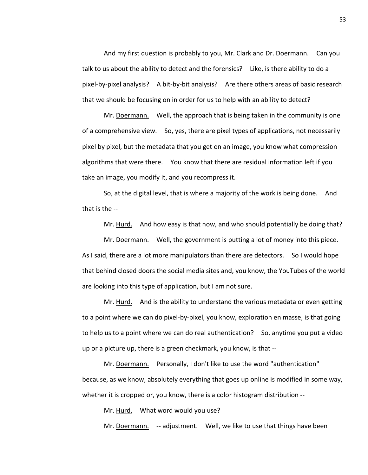And my first question is probably to you, Mr. Clark and Dr. Doermann. Can you talk to us about the ability to detect and the forensics? Like, is there ability to do a pixel-by-pixel analysis? A bit-by-bit analysis? Are there others areas of basic research that we should be focusing on in order for us to help with an ability to detect?

Mr. Doermann. Well, the approach that is being taken in the community is one of a comprehensive view. So, yes, there are pixel types of applications, not necessarily pixel by pixel, but the metadata that you get on an image, you know what compression algorithms that were there. You know that there are residual information left if you take an image, you modify it, and you recompress it.

So, at the digital level, that is where a majority of the work is being done. And that is the --

Mr. Hurd. And how easy is that now, and who should potentially be doing that?

Mr. Doermann. Well, the government is putting a lot of money into this piece. As I said, there are a lot more manipulators than there are detectors. So I would hope that behind closed doors the social media sites and, you know, the YouTubes of the world are looking into this type of application, but I am not sure.

Mr. Hurd. And is the ability to understand the various metadata or even getting to a point where we can do pixel-by-pixel, you know, exploration en masse, is that going to help us to a point where we can do real authentication? So, anytime you put a video up or a picture up, there is a green checkmark, you know, is that --

Mr. Doermann. Personally, I don't like to use the word "authentication" because, as we know, absolutely everything that goes up online is modified in some way, whether it is cropped or, you know, there is a color histogram distribution --

Mr. Hurd. What word would you use?

Mr. Doermann. -- adjustment. Well, we like to use that things have been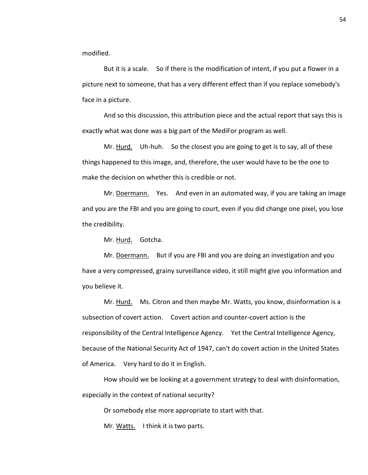modified.

But it is a scale. So if there is the modification of intent, if you put a flower in a picture next to someone, that has a very different effect than if you replace somebody's face in a picture.

And so this discussion, this attribution piece and the actual report that says this is exactly what was done was a big part of the MediFor program as well.

Mr. Hurd. Uh-huh. So the closest you are going to get is to say, all of these things happened to this image, and, therefore, the user would have to be the one to make the decision on whether this is credible or not.

Mr. Doermann. Yes. And even in an automated way, if you are taking an image and you are the FBI and you are going to court, even if you did change one pixel, you lose the credibility.

Mr. Hurd. Gotcha.

Mr. Doermann. But if you are FBI and you are doing an investigation and you have a very compressed, grainy surveillance video, it still might give you information and you believe it.

Mr. Hurd. Ms. Citron and then maybe Mr. Watts, you know, disinformation is a subsection of covert action. Covert action and counter-covert action is the responsibility of the Central Intelligence Agency. Yet the Central Intelligence Agency, because of the National Security Act of 1947, can't do covert action in the United States of America. Very hard to do it in English.

How should we be looking at a government strategy to deal with disinformation, especially in the context of national security?

Or somebody else more appropriate to start with that.

Mr. Watts. I think it is two parts.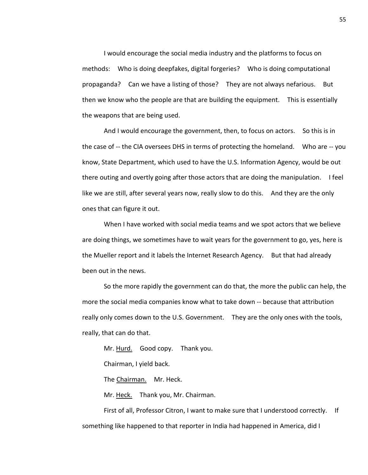I would encourage the social media industry and the platforms to focus on methods: Who is doing deepfakes, digital forgeries? Who is doing computational propaganda? Can we have a listing of those? They are not always nefarious. But then we know who the people are that are building the equipment. This is essentially the weapons that are being used.

And I would encourage the government, then, to focus on actors. So this is in the case of -- the CIA oversees DHS in terms of protecting the homeland. Who are -- you know, State Department, which used to have the U.S. Information Agency, would be out there outing and overtly going after those actors that are doing the manipulation. I feel like we are still, after several years now, really slow to do this. And they are the only ones that can figure it out.

When I have worked with social media teams and we spot actors that we believe are doing things, we sometimes have to wait years for the government to go, yes, here is the Mueller report and it labels the Internet Research Agency. But that had already been out in the news.

So the more rapidly the government can do that, the more the public can help, the more the social media companies know what to take down -- because that attribution really only comes down to the U.S. Government. They are the only ones with the tools, really, that can do that.

Mr. Hurd. Good copy. Thank you.

Chairman, I yield back.

The Chairman. Mr. Heck.

Mr. Heck. Thank you, Mr. Chairman.

First of all, Professor Citron, I want to make sure that I understood correctly. If something like happened to that reporter in India had happened in America, did I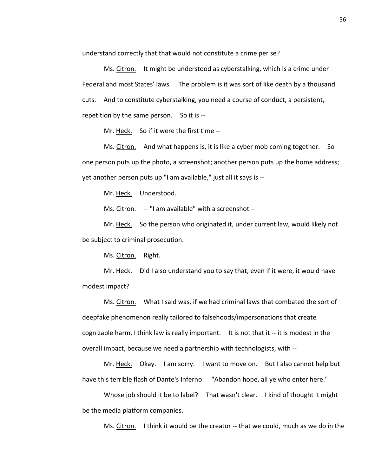understand correctly that that would not constitute a crime per se?

Ms. Citron. It might be understood as cyberstalking, which is a crime under Federal and most States' laws. The problem is it was sort of like death by a thousand cuts. And to constitute cyberstalking, you need a course of conduct, a persistent, repetition by the same person. So it is --

Mr. Heck. So if it were the first time --

Ms. Citron. And what happens is, it is like a cyber mob coming together. So one person puts up the photo, a screenshot; another person puts up the home address; yet another person puts up "I am available," just all it says is --

Mr. Heck. Understood.

Ms. Citron. -- "I am available" with a screenshot --

Mr. Heck. So the person who originated it, under current law, would likely not be subject to criminal prosecution.

Ms. Citron. Right.

Mr. Heck. Did I also understand you to say that, even if it were, it would have modest impact?

Ms. Citron. What I said was, if we had criminal laws that combated the sort of deepfake phenomenon really tailored to falsehoods/impersonations that create cognizable harm, I think law is really important. It is not that it -- it is modest in the overall impact, because we need a partnership with technologists, with --

Mr. Heck. Okay. I am sorry. I want to move on. But I also cannot help but have this terrible flash of Dante's Inferno: "Abandon hope, all ye who enter here."

Whose job should it be to label? That wasn't clear. I kind of thought it might be the media platform companies.

Ms. Citron. I think it would be the creator -- that we could, much as we do in the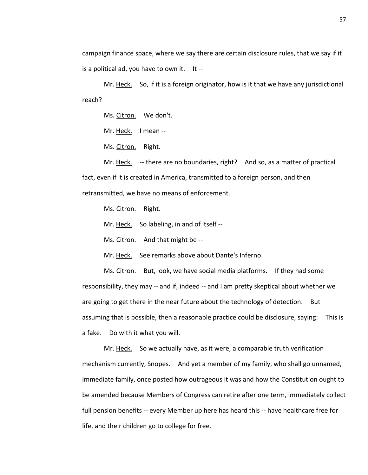campaign finance space, where we say there are certain disclosure rules, that we say if it is a political ad, you have to own it. It --

Mr. Heck. So, if it is a foreign originator, how is it that we have any jurisdictional reach?

Ms. Citron. We don't.

Mr. Heck. I mean --

Ms. Citron. Right.

Mr. Heck. -- there are no boundaries, right? And so, as a matter of practical fact, even if it is created in America, transmitted to a foreign person, and then retransmitted, we have no means of enforcement.

Ms. Citron. Right.

Mr. Heck. So labeling, in and of itself --

Ms. Citron. And that might be --

Mr. Heck. See remarks above about Dante's Inferno.

Ms. Citron. But, look, we have social media platforms. If they had some responsibility, they may -- and if, indeed -- and I am pretty skeptical about whether we are going to get there in the near future about the technology of detection. But assuming that is possible, then a reasonable practice could be disclosure, saying: This is a fake. Do with it what you will.

Mr. Heck. So we actually have, as it were, a comparable truth verification mechanism currently, Snopes. And yet a member of my family, who shall go unnamed, immediate family, once posted how outrageous it was and how the Constitution ought to be amended because Members of Congress can retire after one term, immediately collect full pension benefits -- every Member up here has heard this -- have healthcare free for life, and their children go to college for free.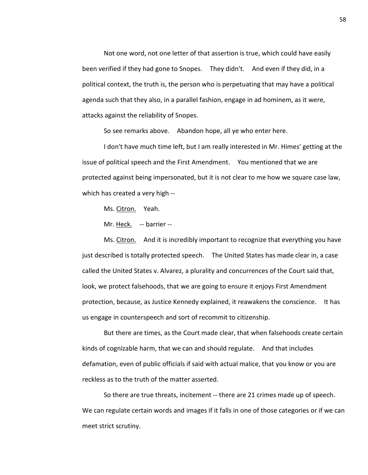Not one word, not one letter of that assertion is true, which could have easily been verified if they had gone to Snopes. They didn't. And even if they did, in a political context, the truth is, the person who is perpetuating that may have a political agenda such that they also, in a parallel fashion, engage in ad hominem, as it were, attacks against the reliability of Snopes.

So see remarks above. Abandon hope, all ye who enter here.

I don't have much time left, but I am really interested in Mr. Himes' getting at the issue of political speech and the First Amendment. You mentioned that we are protected against being impersonated, but it is not clear to me how we square case law, which has created a very high --

Ms. Citron. Yeah.

Mr. Heck. -- barrier --

Ms. Citron. And it is incredibly important to recognize that everything you have just described is totally protected speech. The United States has made clear in, a case called the United States v. Alvarez, a plurality and concurrences of the Court said that, look, we protect falsehoods, that we are going to ensure it enjoys First Amendment protection, because, as Justice Kennedy explained, it reawakens the conscience. It has us engage in counterspeech and sort of recommit to citizenship.

But there are times, as the Court made clear, that when falsehoods create certain kinds of cognizable harm, that we can and should regulate. And that includes defamation, even of public officials if said with actual malice, that you know or you are reckless as to the truth of the matter asserted.

So there are true threats, incitement -- there are 21 crimes made up of speech. We can regulate certain words and images if it falls in one of those categories or if we can meet strict scrutiny.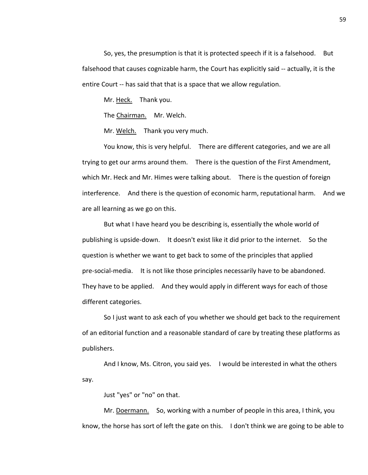So, yes, the presumption is that it is protected speech if it is a falsehood. But falsehood that causes cognizable harm, the Court has explicitly said -- actually, it is the entire Court -- has said that that is a space that we allow regulation.

Mr. Heck. Thank you.

The Chairman. Mr. Welch.

Mr. Welch. Thank you very much.

You know, this is very helpful. There are different categories, and we are all trying to get our arms around them. There is the question of the First Amendment, which Mr. Heck and Mr. Himes were talking about. There is the question of foreign interference. And there is the question of economic harm, reputational harm. And we are all learning as we go on this.

But what I have heard you be describing is, essentially the whole world of publishing is upside-down. It doesn't exist like it did prior to the internet. So the question is whether we want to get back to some of the principles that applied pre-social-media. It is not like those principles necessarily have to be abandoned. They have to be applied. And they would apply in different ways for each of those different categories.

So I just want to ask each of you whether we should get back to the requirement of an editorial function and a reasonable standard of care by treating these platforms as publishers.

And I know, Ms. Citron, you said yes. I would be interested in what the others say.

Just "yes" or "no" on that.

Mr. Doermann. So, working with a number of people in this area, I think, you know, the horse has sort of left the gate on this. I don't think we are going to be able to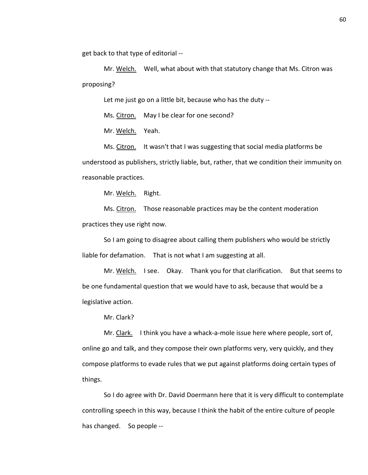get back to that type of editorial --

Mr. Welch. Well, what about with that statutory change that Ms. Citron was proposing?

Let me just go on a little bit, because who has the duty --

Ms. Citron. May I be clear for one second?

Mr. Welch. Yeah.

Ms. Citron. It wasn't that I was suggesting that social media platforms be understood as publishers, strictly liable, but, rather, that we condition their immunity on reasonable practices.

Mr. Welch. Right.

Ms. Citron. Those reasonable practices may be the content moderation practices they use right now.

So I am going to disagree about calling them publishers who would be strictly liable for defamation. That is not what I am suggesting at all.

Mr. Welch. I see. Okay. Thank you for that clarification. But that seems to be one fundamental question that we would have to ask, because that would be a legislative action.

Mr. Clark?

Mr. Clark. I think you have a whack-a-mole issue here where people, sort of, online go and talk, and they compose their own platforms very, very quickly, and they compose platforms to evade rules that we put against platforms doing certain types of things.

So I do agree with Dr. David Doermann here that it is very difficult to contemplate controlling speech in this way, because I think the habit of the entire culture of people has changed. So people --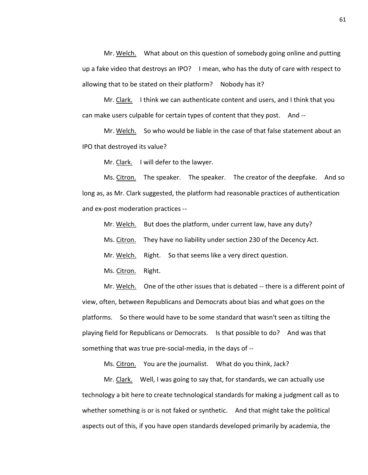Mr. Welch. What about on this question of somebody going online and putting up a fake video that destroys an IPO? I mean, who has the duty of care with respect to allowing that to be stated on their platform? Nobody has it?

Mr. Clark. I think we can authenticate content and users, and I think that you can make users culpable for certain types of content that they post. And --

Mr. Welch. So who would be liable in the case of that false statement about an IPO that destroyed its value?

Mr. Clark. I will defer to the lawyer.

Ms. Citron. The speaker. The speaker. The creator of the deepfake. And so long as, as Mr. Clark suggested, the platform had reasonable practices of authentication and ex-post moderation practices --

Mr. Welch. But does the platform, under current law, have any duty?

Ms. Citron. They have no liability under section 230 of the Decency Act.

Mr. Welch. Right. So that seems like a very direct question.

Ms. Citron. Right.

Mr. Welch. One of the other issues that is debated -- there is a different point of view, often, between Republicans and Democrats about bias and what goes on the platforms. So there would have to be some standard that wasn't seen as tilting the playing field for Republicans or Democrats. Is that possible to do? And was that something that was true pre-social-media, in the days of --

Ms. Citron. You are the journalist. What do you think, Jack?

Mr. Clark. Well, I was going to say that, for standards, we can actually use technology a bit here to create technological standards for making a judgment call as to whether something is or is not faked or synthetic. And that might take the political aspects out of this, if you have open standards developed primarily by academia, the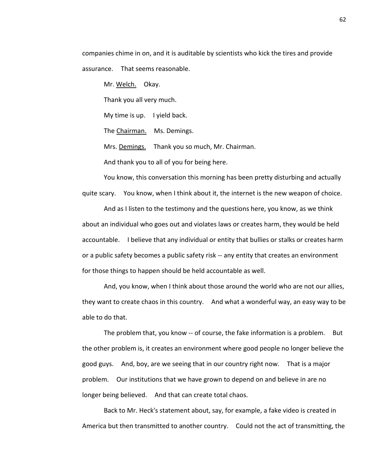companies chime in on, and it is auditable by scientists who kick the tires and provide assurance. That seems reasonable.

Mr. Welch. Okay.

Thank you all very much.

My time is up. I yield back.

The Chairman. Ms. Demings.

Mrs. Demings. Thank you so much, Mr. Chairman.

And thank you to all of you for being here.

You know, this conversation this morning has been pretty disturbing and actually quite scary. You know, when I think about it, the internet is the new weapon of choice.

And as I listen to the testimony and the questions here, you know, as we think about an individual who goes out and violates laws or creates harm, they would be held accountable. I believe that any individual or entity that bullies or stalks or creates harm or a public safety becomes a public safety risk -- any entity that creates an environment for those things to happen should be held accountable as well.

And, you know, when I think about those around the world who are not our allies, they want to create chaos in this country. And what a wonderful way, an easy way to be able to do that.

The problem that, you know -- of course, the fake information is a problem. But the other problem is, it creates an environment where good people no longer believe the good guys. And, boy, are we seeing that in our country right now. That is a major problem. Our institutions that we have grown to depend on and believe in are no longer being believed. And that can create total chaos.

Back to Mr. Heck's statement about, say, for example, a fake video is created in America but then transmitted to another country. Could not the act of transmitting, the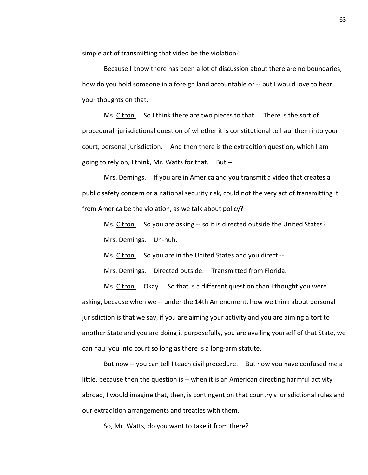simple act of transmitting that video be the violation?

Because I know there has been a lot of discussion about there are no boundaries, how do you hold someone in a foreign land accountable or -- but I would love to hear your thoughts on that.

Ms. Citron. So I think there are two pieces to that. There is the sort of procedural, jurisdictional question of whether it is constitutional to haul them into your court, personal jurisdiction. And then there is the extradition question, which I am going to rely on, I think, Mr. Watts for that. But --

Mrs. Demings. If you are in America and you transmit a video that creates a public safety concern or a national security risk, could not the very act of transmitting it from America be the violation, as we talk about policy?

Ms. Citron. So you are asking -- so it is directed outside the United States? Mrs. Demings. Uh-huh.

Ms. Citron. So you are in the United States and you direct --

Mrs. Demings. Directed outside. Transmitted from Florida.

Ms. Citron. Okay. So that is a different question than I thought you were asking, because when we -- under the 14th Amendment, how we think about personal jurisdiction is that we say, if you are aiming your activity and you are aiming a tort to another State and you are doing it purposefully, you are availing yourself of that State, we can haul you into court so long as there is a long-arm statute.

But now -- you can tell I teach civil procedure. But now you have confused me a little, because then the question is -- when it is an American directing harmful activity abroad, I would imagine that, then, is contingent on that country's jurisdictional rules and our extradition arrangements and treaties with them.

So, Mr. Watts, do you want to take it from there?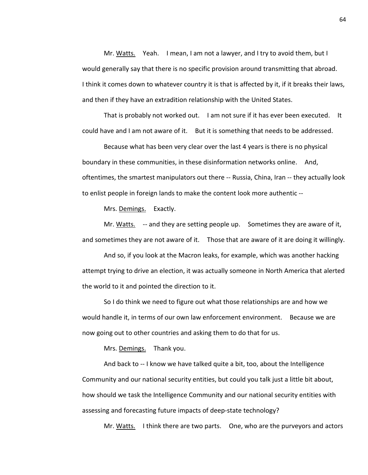Mr. Watts. Yeah. I mean, I am not a lawyer, and I try to avoid them, but I would generally say that there is no specific provision around transmitting that abroad. I think it comes down to whatever country it is that is affected by it, if it breaks their laws, and then if they have an extradition relationship with the United States.

That is probably not worked out. I am not sure if it has ever been executed. It could have and I am not aware of it. But it is something that needs to be addressed.

Because what has been very clear over the last 4 years is there is no physical boundary in these communities, in these disinformation networks online. And, oftentimes, the smartest manipulators out there -- Russia, China, Iran -- they actually look to enlist people in foreign lands to make the content look more authentic --

Mrs. Demings. Exactly.

Mr. Watts. -- and they are setting people up. Sometimes they are aware of it, and sometimes they are not aware of it. Those that are aware of it are doing it willingly.

And so, if you look at the Macron leaks, for example, which was another hacking attempt trying to drive an election, it was actually someone in North America that alerted the world to it and pointed the direction to it.

So I do think we need to figure out what those relationships are and how we would handle it, in terms of our own law enforcement environment. Because we are now going out to other countries and asking them to do that for us.

Mrs. Demings. Thank you.

And back to -- I know we have talked quite a bit, too, about the Intelligence Community and our national security entities, but could you talk just a little bit about, how should we task the Intelligence Community and our national security entities with assessing and forecasting future impacts of deep-state technology?

Mr. Watts. I think there are two parts. One, who are the purveyors and actors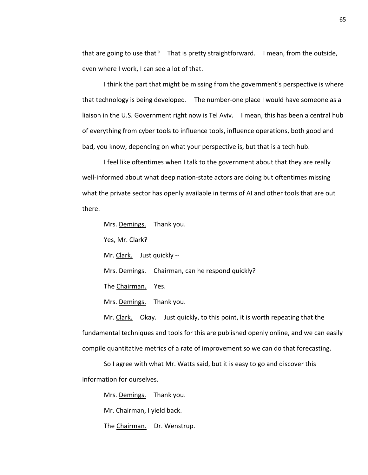that are going to use that? That is pretty straightforward. I mean, from the outside, even where I work, I can see a lot of that.

I think the part that might be missing from the government's perspective is where that technology is being developed. The number-one place I would have someone as a liaison in the U.S. Government right now is Tel Aviv. I mean, this has been a central hub of everything from cyber tools to influence tools, influence operations, both good and bad, you know, depending on what your perspective is, but that is a tech hub.

I feel like oftentimes when I talk to the government about that they are really well-informed about what deep nation-state actors are doing but oftentimes missing what the private sector has openly available in terms of AI and other tools that are out there.

Mrs. Demings. Thank you.

Yes, Mr. Clark?

Mr. Clark. Just quickly --

Mrs. Demings. Chairman, can he respond quickly?

The Chairman. Yes.

Mrs. Demings. Thank you.

Mr. Clark. Okay. Just quickly, to this point, it is worth repeating that the fundamental techniques and tools for this are published openly online, and we can easily compile quantitative metrics of a rate of improvement so we can do that forecasting.

So I agree with what Mr. Watts said, but it is easy to go and discover this information for ourselves.

Mrs. Demings. Thank you.

Mr. Chairman, I yield back.

The Chairman. Dr. Wenstrup.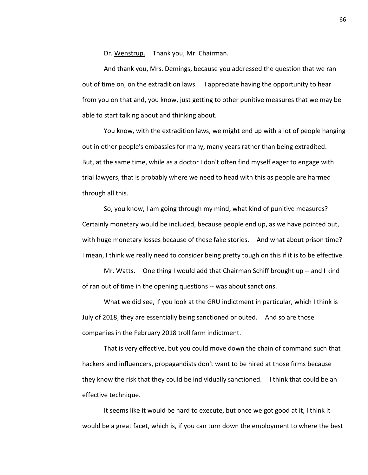Dr. Wenstrup. Thank you, Mr. Chairman.

And thank you, Mrs. Demings, because you addressed the question that we ran out of time on, on the extradition laws. I appreciate having the opportunity to hear from you on that and, you know, just getting to other punitive measures that we may be able to start talking about and thinking about.

You know, with the extradition laws, we might end up with a lot of people hanging out in other people's embassies for many, many years rather than being extradited. But, at the same time, while as a doctor I don't often find myself eager to engage with trial lawyers, that is probably where we need to head with this as people are harmed through all this.

So, you know, I am going through my mind, what kind of punitive measures? Certainly monetary would be included, because people end up, as we have pointed out, with huge monetary losses because of these fake stories. And what about prison time? I mean, I think we really need to consider being pretty tough on this if it is to be effective.

Mr. Watts. One thing I would add that Chairman Schiff brought up -- and I kind of ran out of time in the opening questions -- was about sanctions.

What we did see, if you look at the GRU indictment in particular, which I think is July of 2018, they are essentially being sanctioned or outed. And so are those companies in the February 2018 troll farm indictment.

That is very effective, but you could move down the chain of command such that hackers and influencers, propagandists don't want to be hired at those firms because they know the risk that they could be individually sanctioned. I think that could be an effective technique.

It seems like it would be hard to execute, but once we got good at it, I think it would be a great facet, which is, if you can turn down the employment to where the best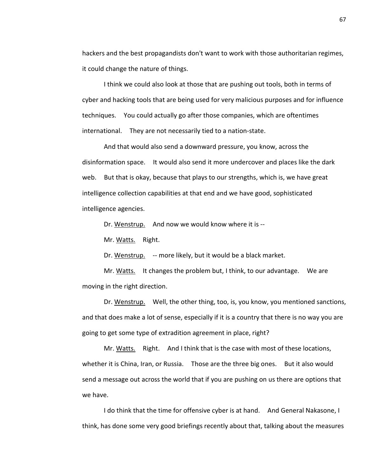hackers and the best propagandists don't want to work with those authoritarian regimes, it could change the nature of things.

I think we could also look at those that are pushing out tools, both in terms of cyber and hacking tools that are being used for very malicious purposes and for influence techniques. You could actually go after those companies, which are oftentimes international. They are not necessarily tied to a nation-state.

And that would also send a downward pressure, you know, across the disinformation space. It would also send it more undercover and places like the dark web. But that is okay, because that plays to our strengths, which is, we have great intelligence collection capabilities at that end and we have good, sophisticated intelligence agencies.

Dr. Wenstrup. And now we would know where it is --

Mr. Watts. Right.

Dr. Wenstrup. -- more likely, but it would be a black market.

Mr. Watts. It changes the problem but, I think, to our advantage. We are moving in the right direction.

Dr. Wenstrup. Well, the other thing, too, is, you know, you mentioned sanctions, and that does make a lot of sense, especially if it is a country that there is no way you are going to get some type of extradition agreement in place, right?

Mr. Watts. Right. And I think that is the case with most of these locations, whether it is China, Iran, or Russia. Those are the three big ones. But it also would send a message out across the world that if you are pushing on us there are options that we have.

I do think that the time for offensive cyber is at hand. And General Nakasone, I think, has done some very good briefings recently about that, talking about the measures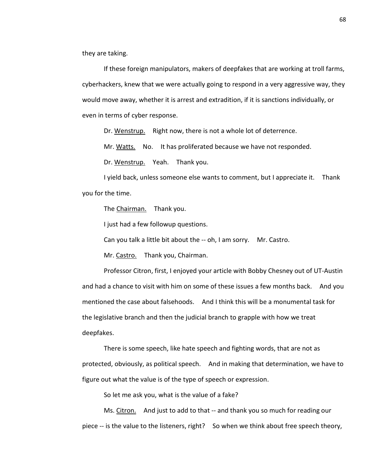they are taking.

If these foreign manipulators, makers of deepfakes that are working at troll farms, cyberhackers, knew that we were actually going to respond in a very aggressive way, they would move away, whether it is arrest and extradition, if it is sanctions individually, or even in terms of cyber response.

Dr. Wenstrup. Right now, there is not a whole lot of deterrence.

Mr. Watts. No. It has proliferated because we have not responded.

Dr. Wenstrup. Yeah. Thank you.

I yield back, unless someone else wants to comment, but I appreciate it. Thank you for the time.

The Chairman. Thank you.

I just had a few followup questions.

Can you talk a little bit about the -- oh, I am sorry. Mr. Castro.

Mr. Castro. Thank you, Chairman.

Professor Citron, first, I enjoyed your article with Bobby Chesney out of UT-Austin and had a chance to visit with him on some of these issues a few months back. And you mentioned the case about falsehoods. And I think this will be a monumental task for the legislative branch and then the judicial branch to grapple with how we treat deepfakes.

There is some speech, like hate speech and fighting words, that are not as protected, obviously, as political speech. And in making that determination, we have to figure out what the value is of the type of speech or expression.

So let me ask you, what is the value of a fake?

Ms. Citron. And just to add to that -- and thank you so much for reading our piece -- is the value to the listeners, right? So when we think about free speech theory,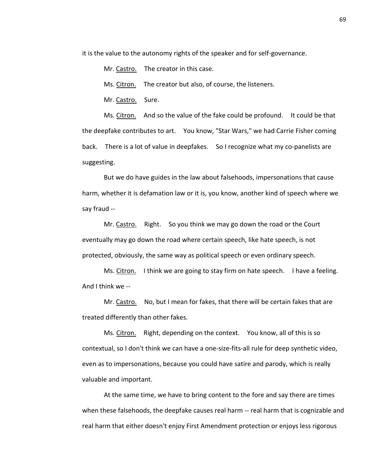it is the value to the autonomy rights of the speaker and for self-governance.

Mr. Castro. The creator in this case.

Ms. Citron. The creator but also, of course, the listeners.

Mr. Castro. Sure.

Ms. Citron. And so the value of the fake could be profound. It could be that the deepfake contributes to art. You know, "Star Wars," we had Carrie Fisher coming back. There is a lot of value in deepfakes. So I recognize what my co-panelists are suggesting.

But we do have guides in the law about falsehoods, impersonations that cause harm, whether it is defamation law or it is, you know, another kind of speech where we say fraud --

Mr. Castro. Right. So you think we may go down the road or the Court eventually may go down the road where certain speech, like hate speech, is not protected, obviously, the same way as political speech or even ordinary speech.

Ms. Citron. I think we are going to stay firm on hate speech. I have a feeling. And I think we --

Mr. Castro. No, but I mean for fakes, that there will be certain fakes that are treated differently than other fakes.

Ms. Citron. Right, depending on the context. You know, all of this is so contextual, so I don't think we can have a one-size-fits-all rule for deep synthetic video, even as to impersonations, because you could have satire and parody, which is really valuable and important.

At the same time, we have to bring content to the fore and say there are times when these falsehoods, the deepfake causes real harm -- real harm that is cognizable and real harm that either doesn't enjoy First Amendment protection or enjoys less rigorous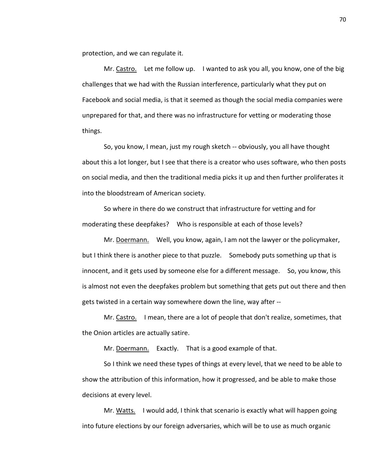protection, and we can regulate it.

Mr. Castro. Let me follow up. I wanted to ask you all, you know, one of the big challenges that we had with the Russian interference, particularly what they put on Facebook and social media, is that it seemed as though the social media companies were unprepared for that, and there was no infrastructure for vetting or moderating those things.

So, you know, I mean, just my rough sketch -- obviously, you all have thought about this a lot longer, but I see that there is a creator who uses software, who then posts on social media, and then the traditional media picks it up and then further proliferates it into the bloodstream of American society.

So where in there do we construct that infrastructure for vetting and for moderating these deepfakes? Who is responsible at each of those levels?

Mr. Doermann. Well, you know, again, I am not the lawyer or the policymaker, but I think there is another piece to that puzzle. Somebody puts something up that is innocent, and it gets used by someone else for a different message. So, you know, this is almost not even the deepfakes problem but something that gets put out there and then gets twisted in a certain way somewhere down the line, way after --

Mr. Castro. I mean, there are a lot of people that don't realize, sometimes, that the Onion articles are actually satire.

Mr. Doermann. Exactly. That is a good example of that.

So I think we need these types of things at every level, that we need to be able to show the attribution of this information, how it progressed, and be able to make those decisions at every level.

Mr. Watts. I would add, I think that scenario is exactly what will happen going into future elections by our foreign adversaries, which will be to use as much organic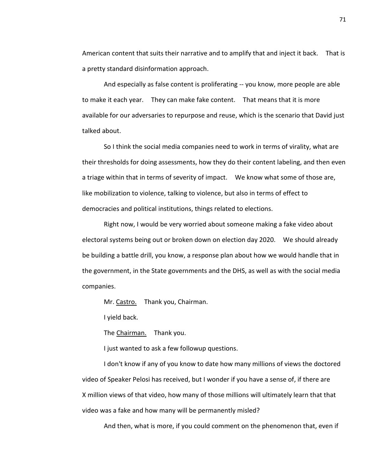American content that suits their narrative and to amplify that and inject it back. That is a pretty standard disinformation approach.

And especially as false content is proliferating -- you know, more people are able to make it each year. They can make fake content. That means that it is more available for our adversaries to repurpose and reuse, which is the scenario that David just talked about.

So I think the social media companies need to work in terms of virality, what are their thresholds for doing assessments, how they do their content labeling, and then even a triage within that in terms of severity of impact. We know what some of those are, like mobilization to violence, talking to violence, but also in terms of effect to democracies and political institutions, things related to elections.

Right now, I would be very worried about someone making a fake video about electoral systems being out or broken down on election day 2020. We should already be building a battle drill, you know, a response plan about how we would handle that in the government, in the State governments and the DHS, as well as with the social media companies.

Mr. Castro. Thank you, Chairman.

I yield back.

The Chairman. Thank you.

I just wanted to ask a few followup questions.

I don't know if any of you know to date how many millions of views the doctored video of Speaker Pelosi has received, but I wonder if you have a sense of, if there are X million views of that video, how many of those millions will ultimately learn that that video was a fake and how many will be permanently misled?

And then, what is more, if you could comment on the phenomenon that, even if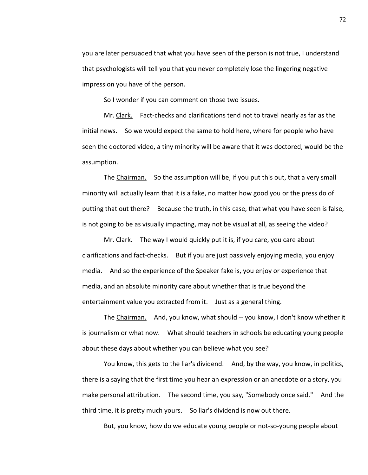you are later persuaded that what you have seen of the person is not true, I understand that psychologists will tell you that you never completely lose the lingering negative impression you have of the person.

So I wonder if you can comment on those two issues.

Mr. Clark. Fact-checks and clarifications tend not to travel nearly as far as the initial news. So we would expect the same to hold here, where for people who have seen the doctored video, a tiny minority will be aware that it was doctored, would be the assumption.

The Chairman. So the assumption will be, if you put this out, that a very small minority will actually learn that it is a fake, no matter how good you or the press do of putting that out there? Because the truth, in this case, that what you have seen is false, is not going to be as visually impacting, may not be visual at all, as seeing the video?

Mr. Clark. The way I would quickly put it is, if you care, you care about clarifications and fact-checks. But if you are just passively enjoying media, you enjoy media. And so the experience of the Speaker fake is, you enjoy or experience that media, and an absolute minority care about whether that is true beyond the entertainment value you extracted from it. Just as a general thing.

The Chairman. And, you know, what should -- you know, I don't know whether it is journalism or what now. What should teachers in schools be educating young people about these days about whether you can believe what you see?

You know, this gets to the liar's dividend. And, by the way, you know, in politics, there is a saying that the first time you hear an expression or an anecdote or a story, you make personal attribution. The second time, you say, "Somebody once said." And the third time, it is pretty much yours. So liar's dividend is now out there.

But, you know, how do we educate young people or not-so-young people about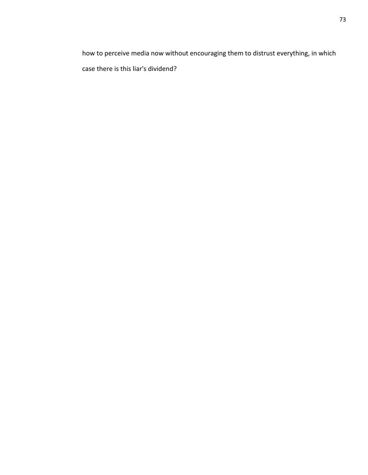how to perceive media now without encouraging them to distrust everything, in which case there is this liar's dividend?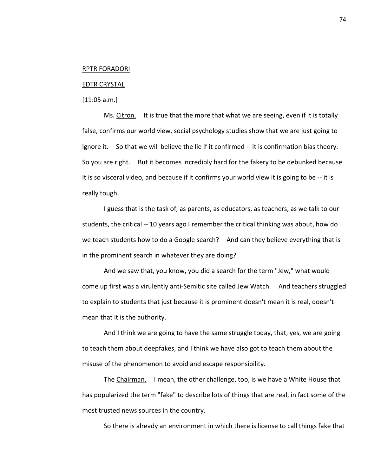## RPTR FORADORI

## EDTR CRYSTAL

[11:05 a.m.]

Ms. Citron. It is true that the more that what we are seeing, even if it is totally false, confirms our world view, social psychology studies show that we are just going to ignore it. So that we will believe the lie if it confirmed -- it is confirmation bias theory. So you are right. But it becomes incredibly hard for the fakery to be debunked because it is so visceral video, and because if it confirms your world view it is going to be -- it is really tough.

I guess that is the task of, as parents, as educators, as teachers, as we talk to our students, the critical -- 10 years ago I remember the critical thinking was about, how do we teach students how to do a Google search? And can they believe everything that is in the prominent search in whatever they are doing?

And we saw that, you know, you did a search for the term "Jew," what would come up first was a virulently anti-Semitic site called Jew Watch. And teachers struggled to explain to students that just because it is prominent doesn't mean it is real, doesn't mean that it is the authority.

And I think we are going to have the same struggle today, that, yes, we are going to teach them about deepfakes, and I think we have also got to teach them about the misuse of the phenomenon to avoid and escape responsibility.

The Chairman. I mean, the other challenge, too, is we have a White House that has popularized the term "fake" to describe lots of things that are real, in fact some of the most trusted news sources in the country.

So there is already an environment in which there is license to call things fake that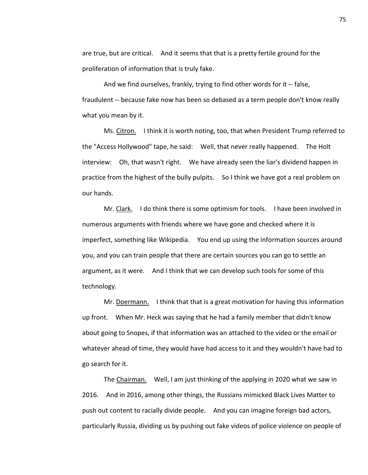are true, but are critical. And it seems that that is a pretty fertile ground for the proliferation of information that is truly fake.

And we find ourselves, frankly, trying to find other words for it -- false, fraudulent -- because fake now has been so debased as a term people don't know really what you mean by it.

Ms. Citron. I think it is worth noting, too, that when President Trump referred to the "Access Hollywood" tape, he said: Well, that never really happened. The Holt interview: Oh, that wasn't right. We have already seen the liar's dividend happen in practice from the highest of the bully pulpits. So I think we have got a real problem on our hands.

Mr. Clark. I do think there is some optimism for tools. I have been involved in numerous arguments with friends where we have gone and checked where it is imperfect, something like Wikipedia. You end up using the information sources around you, and you can train people that there are certain sources you can go to settle an argument, as it were. And I think that we can develop such tools for some of this technology.

Mr. Doermann. I think that that is a great motivation for having this information up front. When Mr. Heck was saying that he had a family member that didn't know about going to Snopes, if that information was an attached to the video or the email or whatever ahead of time, they would have had access to it and they wouldn't have had to go search for it.

The Chairman. Well, I am just thinking of the applying in 2020 what we saw in 2016. And in 2016, among other things, the Russians mimicked Black Lives Matter to push out content to racially divide people. And you can imagine foreign bad actors, particularly Russia, dividing us by pushing out fake videos of police violence on people of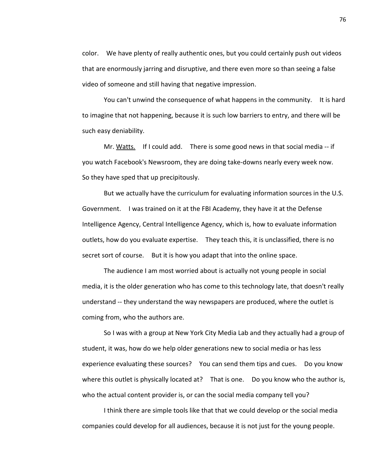color. We have plenty of really authentic ones, but you could certainly push out videos that are enormously jarring and disruptive, and there even more so than seeing a false video of someone and still having that negative impression.

You can't unwind the consequence of what happens in the community. It is hard to imagine that not happening, because it is such low barriers to entry, and there will be such easy deniability.

Mr. Watts. If I could add. There is some good news in that social media -- if you watch Facebook's Newsroom, they are doing take-downs nearly every week now. So they have sped that up precipitously.

But we actually have the curriculum for evaluating information sources in the U.S. Government. I was trained on it at the FBI Academy, they have it at the Defense Intelligence Agency, Central Intelligence Agency, which is, how to evaluate information outlets, how do you evaluate expertise. They teach this, it is unclassified, there is no secret sort of course. But it is how you adapt that into the online space.

The audience I am most worried about is actually not young people in social media, it is the older generation who has come to this technology late, that doesn't really understand -- they understand the way newspapers are produced, where the outlet is coming from, who the authors are.

So I was with a group at New York City Media Lab and they actually had a group of student, it was, how do we help older generations new to social media or has less experience evaluating these sources? You can send them tips and cues. Do you know where this outlet is physically located at? That is one. Do you know who the author is, who the actual content provider is, or can the social media company tell you?

I think there are simple tools like that that we could develop or the social media companies could develop for all audiences, because it is not just for the young people.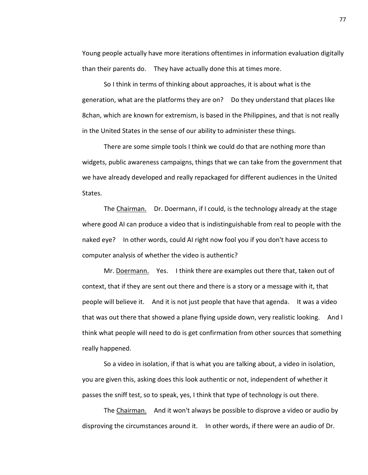Young people actually have more iterations oftentimes in information evaluation digitally than their parents do. They have actually done this at times more.

So I think in terms of thinking about approaches, it is about what is the generation, what are the platforms they are on? Do they understand that places like 8chan, which are known for extremism, is based in the Philippines, and that is not really in the United States in the sense of our ability to administer these things.

There are some simple tools I think we could do that are nothing more than widgets, public awareness campaigns, things that we can take from the government that we have already developed and really repackaged for different audiences in the United States.

The Chairman. Dr. Doermann, if I could, is the technology already at the stage where good AI can produce a video that is indistinguishable from real to people with the naked eye? In other words, could AI right now fool you if you don't have access to computer analysis of whether the video is authentic?

Mr. Doermann. Yes. I think there are examples out there that, taken out of context, that if they are sent out there and there is a story or a message with it, that people will believe it. And it is not just people that have that agenda. It was a video that was out there that showed a plane flying upside down, very realistic looking. And I think what people will need to do is get confirmation from other sources that something really happened.

So a video in isolation, if that is what you are talking about, a video in isolation, you are given this, asking does this look authentic or not, independent of whether it passes the sniff test, so to speak, yes, I think that type of technology is out there.

The Chairman. And it won't always be possible to disprove a video or audio by disproving the circumstances around it. In other words, if there were an audio of Dr.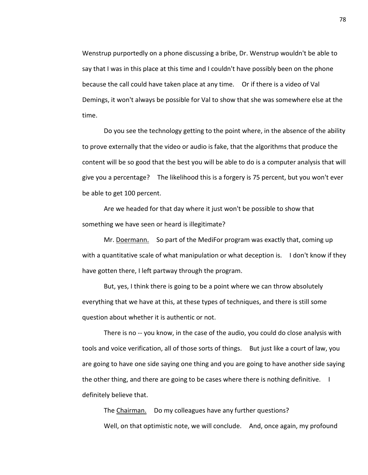Wenstrup purportedly on a phone discussing a bribe, Dr. Wenstrup wouldn't be able to say that I was in this place at this time and I couldn't have possibly been on the phone because the call could have taken place at any time. Or if there is a video of Val Demings, it won't always be possible for Val to show that she was somewhere else at the time.

Do you see the technology getting to the point where, in the absence of the ability to prove externally that the video or audio is fake, that the algorithms that produce the content will be so good that the best you will be able to do is a computer analysis that will give you a percentage? The likelihood this is a forgery is 75 percent, but you won't ever be able to get 100 percent.

Are we headed for that day where it just won't be possible to show that something we have seen or heard is illegitimate?

Mr. Doermann. So part of the MediFor program was exactly that, coming up with a quantitative scale of what manipulation or what deception is. I don't know if they have gotten there, I left partway through the program.

But, yes, I think there is going to be a point where we can throw absolutely everything that we have at this, at these types of techniques, and there is still some question about whether it is authentic or not.

There is no -- you know, in the case of the audio, you could do close analysis with tools and voice verification, all of those sorts of things. But just like a court of law, you are going to have one side saying one thing and you are going to have another side saying the other thing, and there are going to be cases where there is nothing definitive. I definitely believe that.

The Chairman. Do my colleagues have any further questions? Well, on that optimistic note, we will conclude. And, once again, my profound